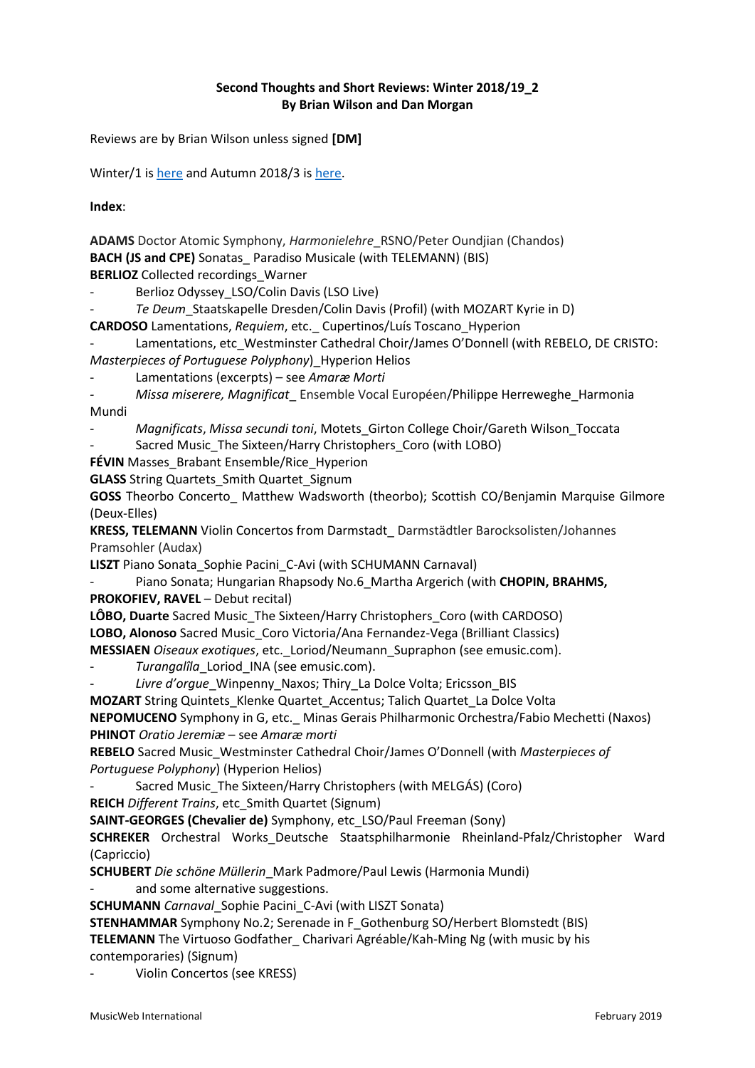### **Second Thoughts and Short Reviews: Winter 2018/19\_2 By Brian Wilson and Dan Morgan**

Reviews are by Brian Wilson unless signed **[DM]**

Winter/1 i[s here](http://musicweb-international.com/classrev/2019/Jan/Winter_2019_1.pdf) and Autumn 2018/3 i[s here.](http://www.musicweb-international.com/classrev/2018/Nov/Autumn_2018_3.pdf)

**Index**:

**ADAMS** Doctor Atomic Symphony, *Harmonielehre*\_RSNO/Peter Oundjian (Chandos) **BACH (JS and CPE)** Sonatas Paradiso Musicale (with TELEMANN) (BIS) **BERLIOZ** Collected recordings Warner

Berlioz Odyssey\_LSO/Colin Davis (LSO Live)

Te Deum Staatskapelle Dresden/Colin Davis (Profil) (with MOZART Kyrie in D)

**CARDOSO** Lamentations, *Requiem*, etc.\_ Cupertinos/Luís Toscano\_Hyperion

Lamentations, etc\_Westminster Cathedral Choir/James O'Donnell (with REBELO, DE CRISTO: *Masterpieces of Portuguese Polyphony*)\_Hyperion Helios

- Lamentations (excerpts) – see *Amaræ Morti*

*- Missa miserere, Magnificat*\_ Ensemble Vocal Européen/Philippe Herreweghe\_Harmonia Mundi

- *Magnificats*, *Missa secundi toni*, Motets\_Girton College Choir/Gareth Wilson\_Toccata Sacred Music\_The Sixteen/Harry Christophers\_Coro (with LOBO)

**FÉVIN** Masses Brabant Ensemble/Rice Hyperion

**GLASS** String Quartets Smith Quartet Signum

GOSS Theorbo Concerto Matthew Wadsworth (theorbo); Scottish CO/Benjamin Marquise Gilmore (Deux-Elles)

**KRESS, TELEMANN** Violin Concertos from Darmstadt\_ Darmstädtler Barocksolisten/Johannes Pramsohler (Audax)

**LISZT** Piano Sonata Sophie Pacini C-Avi (with SCHUMANN Carnaval)

Piano Sonata; Hungarian Rhapsody No.6 Martha Argerich (with CHOPIN, BRAHMS,

**PROKOFIEV, RAVEL** – Debut recital)

**LÔBO, Duarte** Sacred Music\_The Sixteen/Harry Christophers\_Coro (with CARDOSO) **LOBO, Alonoso** Sacred Music\_Coro Victoria/Ana Fernandez-Vega (Brilliant Classics)

**MESSIAEN** *Oiseaux exotiques*, etc.\_Loriod/Neumann\_Supraphon (see emusic.com).

Turangalîla Loriod INA (see emusic.com).

- *Livre d'orgue*\_Winpenny\_Naxos; Thiry\_La Dolce Volta; Ericsson\_BIS

**MOZART** String Quintets\_Klenke Quartet\_Accentus; Talich Quartet\_La Dolce Volta **NEPOMUCENO** Symphony in G, etc.\_ Minas Gerais Philharmonic Orchestra/Fabio Mechetti (Naxos)

**PHINOT** *Oratio Jeremiæ* – see *Amaræ morti*

**REBELO** Sacred Music\_Westminster Cathedral Choir/James O'Donnell (with *Masterpieces of Portuguese Polyphony*) (Hyperion Helios)

Sacred Music\_The Sixteen/Harry Christophers (with MELGÁS) (Coro)

**REICH** *Different Trains*, etc\_Smith Quartet (Signum)

**SAINT-GEORGES (Chevalier de)** Symphony, etc\_LSO/Paul Freeman (Sony)

**SCHREKER** Orchestral Works\_Deutsche Staatsphilharmonie Rheinland-Pfalz/Christopher Ward (Capriccio)

**SCHUBERT** *Die schöne Müllerin*\_Mark Padmore/Paul Lewis (Harmonia Mundi)

and some alternative suggestions.

**SCHUMANN** *Carnaval*\_Sophie Pacini\_C-Avi (with LISZT Sonata)

**STENHAMMAR** Symphony No.2; Serenade in F\_Gothenburg SO/Herbert Blomstedt (BIS)

**TELEMANN** The Virtuoso Godfather\_ Charivari Agréable/Kah-Ming Ng (with music by his contemporaries) (Signum)

Violin Concertos (see KRESS)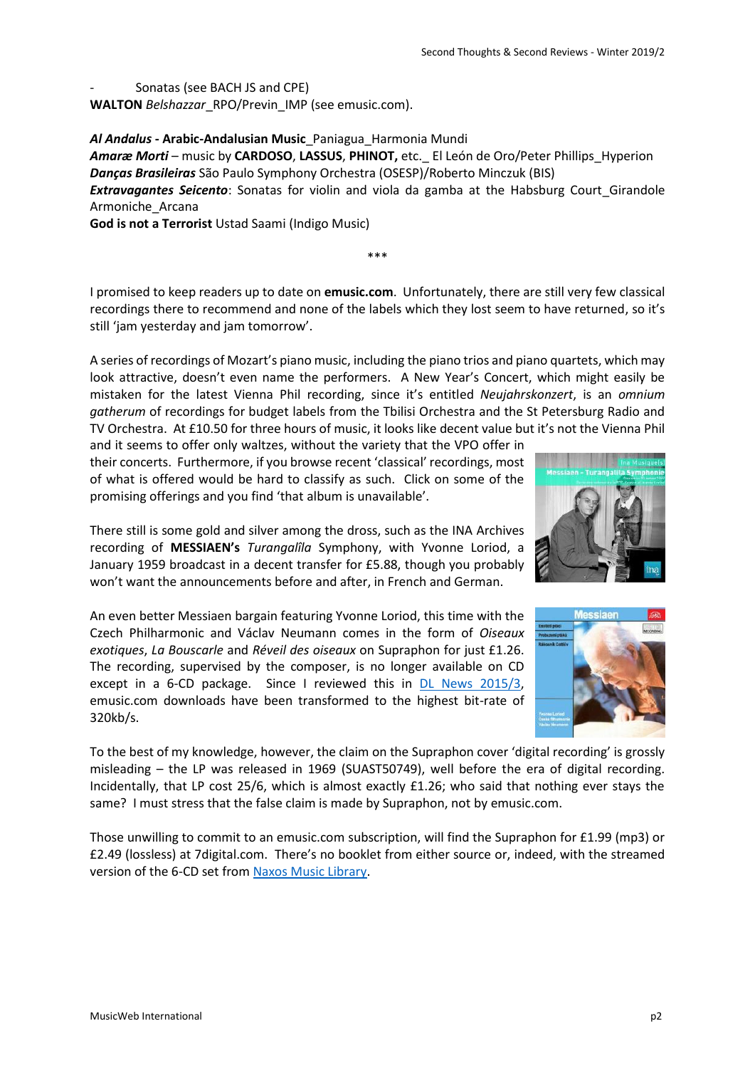# Sonatas (see BACH JS and CPE)

**WALTON** *Belshazzar*\_RPO/Previn\_IMP (see emusic.com).

*Al Andalus* **- Arabic-Andalusian Music**\_Paniagua\_Harmonia Mundi

*Amaræ Morti* – music by **CARDOSO**, **LASSUS**, **PHINOT,** etc.\_ El León de Oro/Peter Phillips\_Hyperion *Danças Brasileiras* São Paulo Symphony Orchestra (OSESP)/Roberto Minczuk (BIS) **Extravagantes Seicento**: Sonatas for violin and viola da gamba at the Habsburg Court Girandole Armoniche\_Arcana

**God is not a Terrorist** Ustad Saami (Indigo Music)

I promised to keep readers up to date on **emusic.com**. Unfortunately, there are still very few classical recordings there to recommend and none of the labels which they lost seem to have returned, so it's still 'jam yesterday and jam tomorrow'.

\*\*\*

A series of recordings of Mozart's piano music, including the piano trios and piano quartets, which may look attractive, doesn't even name the performers. A New Year's Concert, which might easily be mistaken for the latest Vienna Phil recording, since it's entitled *Neujahrskonzert*, is an *omnium gatherum* of recordings for budget labels from the Tbilisi Orchestra and the St Petersburg Radio and TV Orchestra. At £10.50 for three hours of music, it looks like decent value but it's not the Vienna Phil

and it seems to offer only waltzes, without the variety that the VPO offer in their concerts. Furthermore, if you browse recent 'classical' recordings, most of what is offered would be hard to classify as such. Click on some of the promising offerings and you find 'that album is unavailable'.

There still is some gold and silver among the dross, such as the INA Archives recording of **MESSIAEN's** *Turangalîla* Symphony, with Yvonne Loriod, a January 1959 broadcast in a decent transfer for £5.88, though you probably won't want the announcements before and after, in French and German.

An even better Messiaen bargain featuring Yvonne Loriod, this time with the Czech Philharmonic and Václav Neumann comes in the form of *Oiseaux exotiques*, *La Bouscarle* and *Réveil des oiseaux* on Supraphon for just £1.26. The recording, supervised by the composer, is no longer available on CD except in a 6-CD package. Since I reviewed this in [DL News 2015/3,](http://www.musicweb-international.com/classrev/2015/Mar/DL_News_2015_3.htm) emusic.com downloads have been transformed to the highest bit-rate of 320kb/s.



Those unwilling to commit to an emusic.com subscription, will find the Supraphon for £1.99 (mp3) or £2.49 (lossless) at 7digital.com. There's no booklet from either source or, indeed, with the streamed version of the 6-CD set from [Naxos Music Library.](https://www.naxosmusiclibrary.com/catalogue/item.asp?cid=SU4133-2)



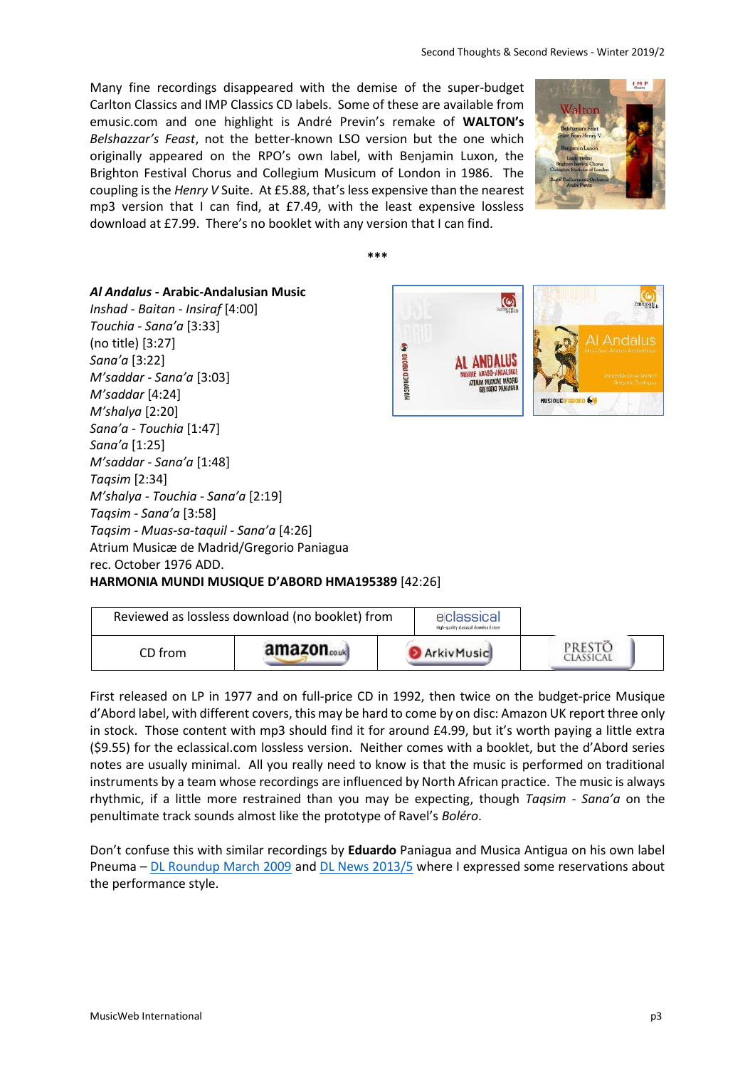Many fine recordings disappeared with the demise of the super-budget Carlton Classics and IMP Classics CD labels. Some of these are available from emusic.com and one highlight is André Previn's remake of **WALTON's** *Belshazzar's Feast*, not the better-known LSO version but the one which originally appeared on the RPO's own label, with Benjamin Luxon, the Brighton Festival Chorus and Collegium Musicum of London in 1986. The coupling is the *Henry V* Suite. At £5.88, that's less expensive than the nearest mp3 version that I can find, at £7.49, with the least expensive lossless download at £7.99. There's no booklet with any version that I can find.



**\*\*\***

#### *Al Andalus* **- Arabic-Andalusian Music**

*Inshad - Baitan - Insiraf* [4:00] *Touchia - Sana'a* [3:33] (no title) [3:27] s *Sana'a* [3:22] **MUSIQUED'ABORD** *M'saddar - Sana'a* [3:03] *M'saddar* [4:24] *M'shalya* [2:20] *Sana'a - Touchia* [1:47] *Sana'a* [1:25] *M'saddar - Sana'a* [1:48] *Taqsim* [2:34] *M'shalya - Touchia - Sana'a* [2:19] *Taqsim - Sana'a* [3:58] *Taqsim - Muas-sa-taquil - Sana'a* [4:26] Atrium Musicæ de Madrid/Gregorio Paniagua rec. October 1976 ADD. **HARMONIA MUNDI MUSIQUE D'ABORD HMA195389** [42:26]



| Reviewed as lossless download (no booklet) from |                        | eclassical<br>High-quality classical download store |                     |
|-------------------------------------------------|------------------------|-----------------------------------------------------|---------------------|
| CD from                                         | amazon <sub>couk</sub> | <b>D</b> Arkiv Music                                | PRESTČ<br>CLASSICAL |

First released on LP in 1977 and on full-price CD in 1992, then twice on the budget-price Musique d'Abord label, with different covers, this may be hard to come by on disc: Amazon UK report three only in stock. Those content with mp3 should find it for around £4.99, but it's worth paying a little extra (\$9.55) for the eclassical.com lossless version. Neither comes with a booklet, but the d'Abord series notes are usually minimal. All you really need to know is that the music is performed on traditional instruments by a team whose recordings are influenced by North African practice. The music is always rhythmic, if a little more restrained than you may be expecting, though *Taqsim - Sana'a* on the penultimate track sounds almost like the prototype of Ravel's *Boléro*.

Don't confuse this with similar recordings by **Eduardo** Paniagua and Musica Antigua on his own label Pneuma – [DL Roundup March 2009](http://www.musicweb-international.com/classrev/2009/Mar09/download_roundup.htm) and [DL News 2013/5](http://www.musicweb-international.com/classrev/2013/Mar13/DL_News_2013_5.htm) where I expressed some reservations about the performance style.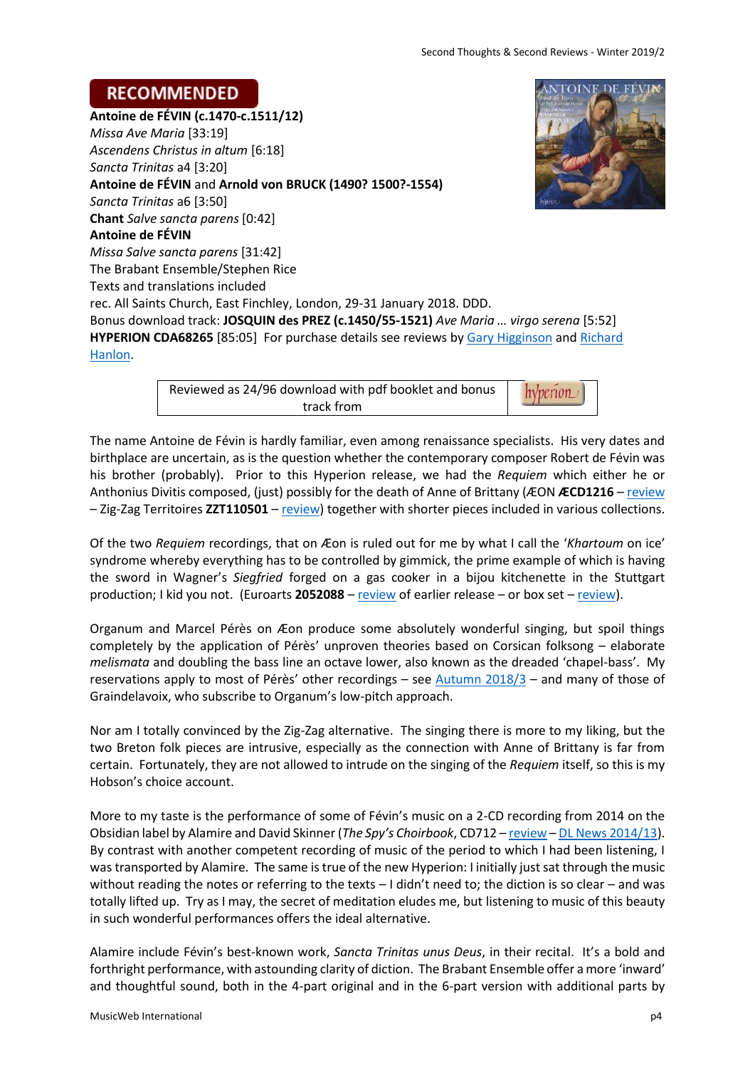# **RECOMMENDED**

**Antoine de FÉVIN (c.1470-c.1511/12)** *Missa Ave Maria* [33:19] *Ascendens Christus in altum* [6:18] *Sancta Trinitas* a4 [3:20] **Antoine de FÉVIN** and **Arnold von BRUCK (1490? 1500?-1554)** *Sancta Trinitas* a6 [3:50] **Chant** *Salve sancta parens* [0:42] **Antoine de FÉVIN** *Missa Salve sancta parens* [31:42] The Brabant Ensemble/Stephen Rice Texts and translations included rec. All Saints Church, East Finchley, London, 29-31 January 2018. DDD. Bonus download track: **JOSQUIN des PREZ (c.1450/55-1521)** *Ave Maria … virgo serena* [5:52] **HYPERION CDA68265** [85:05] For purchase details see reviews by [Gary Higginson](http://www.musicweb-international.com/classrev/2018/Nov/Fevin_choral_CDA68265.htm) and Richard [Hanlon.](http://musicweb-international.com/classrev/2019/Jan/Fevin_choral_CDA68265.htm)

> Reviewed as 24/96 download with pdf booklet and bonus hyperion track from

The name Antoine de Févin is hardly familiar, even among renaissance specialists. His very dates and birthplace are uncertain, as is the question whether the contemporary composer Robert de Févin was his brother (probably). Prior to this Hyperion release, we had the *Requiem* which either he or Anthonius Divitis composed, (just) possibly for the death of Anne of Brittany (ÆON **ÆCD1216** – [review](http://www.musicweb-international.com/classrev/2012/Oct12/Divitis_Fevin_requiem_AECD1216.htm) – Zig-Zag Territoires **ZZT110501** – [review\)](http://www.musicweb-international.com/classrev/2011/Sept11/Fevin_Requiem_ZZT110501.htm) together with shorter pieces included in various collections.

Of the two *Requiem* recordings, that on Æon is ruled out for me by what I call the '*Khartoum* on ice' syndrome whereby everything has to be controlled by gimmick, the prime example of which is having the sword in Wagner's *Siegfried* forged on a gas cooker in a bijou kitchenette in the Stuttgart production; I kid you not. (Euroarts **2052088** – [review](http://www.musicweb-international.com/classrev/2004/apr04/wagner_siegfried_dvd.htm) of earlier release – or box set – [review\)](http://www.musicweb-international.com/classrev/2011/Mar11/Wagner_ring_2057368_CHUSB0005.htm).

Organum and Marcel Pérès on Æon produce some absolutely wonderful singing, but spoil things completely by the application of Pérès' unproven theories based on Corsican folksong – elaborate *melismata* and doubling the bass line an octave lower, also known as the dreaded 'chapel-bass'. My reservations apply to most of Pérès' other recordings – see [Autumn 2018/3](http://www.musicweb-international.com/classrev/2018/Nov/Autumn_2018_3.pdf) – and many of those of Graindelavoix, who subscribe to Organum's low-pitch approach.

Nor am I totally convinced by the Zig-Zag alternative. The singing there is more to my liking, but the two Breton folk pieces are intrusive, especially as the connection with Anne of Brittany is far from certain. Fortunately, they are not allowed to intrude on the singing of the *Requiem* itself, so this is my Hobson's choice account.

More to my taste is the performance of some of Févin's music on a 2-CD recording from 2014 on the Obsidian label by Alamire and David Skinner (*The Spy's Choirbook*, CD712 – [review](http://www.musicweb-international.com/classrev/2014/Nov14/Spy_choirbook_CD712.htm) – [DL News 2014/13\)](http://www.musicweb-international.com/classrev/2014/Oct14/DL_News_2014_13.htm). By contrast with another competent recording of music of the period to which I had been listening, I was transported by Alamire. The same is true of the new Hyperion: I initially just sat through the music without reading the notes or referring to the texts – I didn't need to; the diction is so clear – and was totally lifted up. Try as I may, the secret of meditation eludes me, but listening to music of this beauty in such wonderful performances offers the ideal alternative.

Alamire include Févin's best-known work, *Sancta Trinitas unus Deus*, in their recital. It's a bold and forthright performance, with astounding clarity of diction. The Brabant Ensemble offer a more 'inward' and thoughtful sound, both in the 4-part original and in the 6-part version with additional parts by

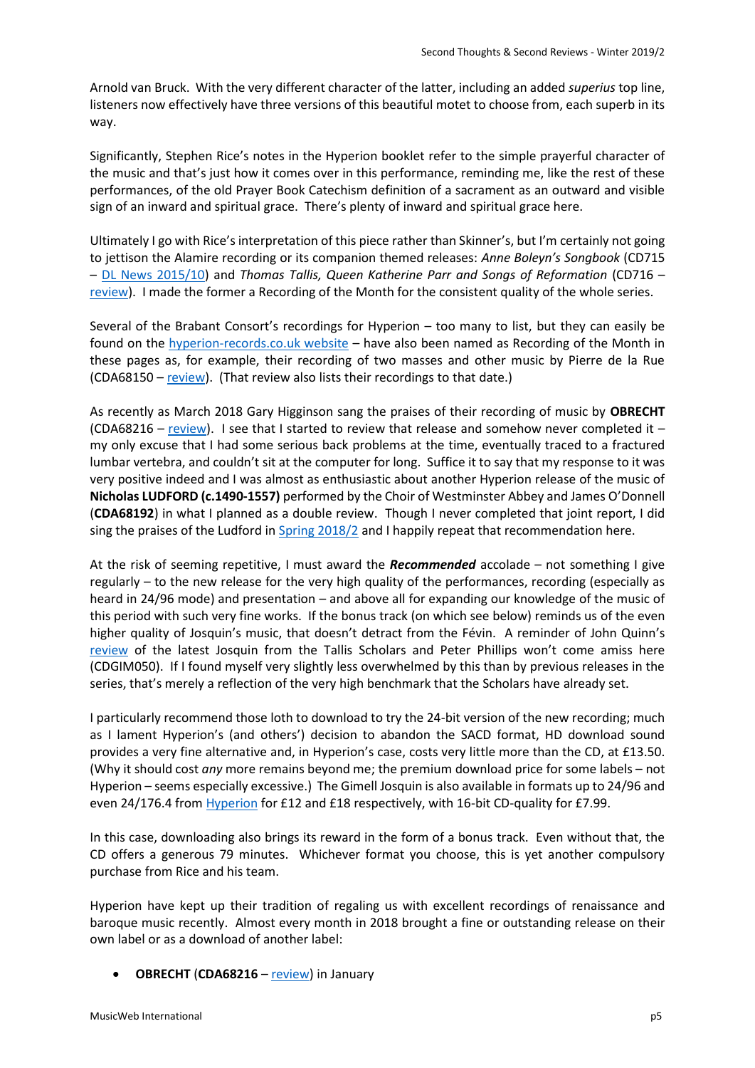Arnold van Bruck. With the very different character of the latter, including an added *superius* top line, listeners now effectively have three versions of this beautiful motet to choose from, each superb in its way.

Significantly, Stephen Rice's notes in the Hyperion booklet refer to the simple prayerful character of the music and that's just how it comes over in this performance, reminding me, like the rest of these performances, of the old Prayer Book Catechism definition of a sacrament as an outward and visible sign of an inward and spiritual grace. There's plenty of inward and spiritual grace here.

Ultimately I go with Rice's interpretation of this piece rather than Skinner's, but I'm certainly not going to jettison the Alamire recording or its companion themed releases: *Anne Boleyn's Songbook* (CD715 – [DL News 2015/10\)](http://www.musicweb-international.com/classrev/2015/Nov/DL_News_2015_10.htm) and *Thomas Tallis, Queen Katherine Parr and Songs of Reformation* (CD716 – [review\)](http://www.musicweb-international.com/classrev/2018/Feb/Tallis_reformation_CD716.htm). I made the former a Recording of the Month for the consistent quality of the whole series.

Several of the Brabant Consort's recordings for Hyperion – too many to list, but they can easily be found on the [hyperion-records.co.uk website](https://www.hyperion-records.co.uk/find.asp?f=brabant+ensemble) – have also been named as Recording of the Month in these pages as, for example, their recording of two masses and other music by Pierre de la Rue (CDA68150 – [review\)](http://www.musicweb-international.com/classrev/2016/Sep/LaRue_masses_CDA68150.htm). (That review also lists their recordings to that date.)

As recently as March 2018 Gary Higginson sang the praises of their recording of music by **OBRECHT** (CDA68216 – [review\)](http://www.musicweb-international.com/classrev/2018/Mar/Obrecht_missa_CDA68216.htm). I see that I started to review that release and somehow never completed it – my only excuse that I had some serious back problems at the time, eventually traced to a fractured lumbar vertebra, and couldn't sit at the computer for long. Suffice it to say that my response to it was very positive indeed and I was almost as enthusiastic about another Hyperion release of the music of **Nicholas LUDFORD (c.1490-1557)** performed by the Choir of Westminster Abbey and James O'Donnell (**CDA68192**) in what I planned as a double review. Though I never completed that joint report, I did sing the praises of the Ludford in [Spring 2018/2](http://www.musicweb-international.com/classrev/2018/Apr/Spring_2018_2.pdf) and I happily repeat that recommendation here.

At the risk of seeming repetitive, I must award the *Recommended* accolade – not something I give regularly – to the new release for the very high quality of the performances, recording (especially as heard in 24/96 mode) and presentation – and above all for expanding our knowledge of the music of this period with such very fine works. If the bonus track (on which see below) reminds us of the even higher quality of Josquin's music, that doesn't detract from the Févin. A reminder of John Quinn's [review](http://musicweb-international.com/classrev/2018/Oct/Josquin_masses_CDGIM050.htm) of the latest Josquin from the Tallis Scholars and Peter Phillips won't come amiss here (CDGIM050). If I found myself very slightly less overwhelmed by this than by previous releases in the series, that's merely a reflection of the very high benchmark that the Scholars have already set.

I particularly recommend those loth to download to try the 24-bit version of the new recording; much as I lament Hyperion's (and others') decision to abandon the SACD format, HD download sound provides a very fine alternative and, in Hyperion's case, costs very little more than the CD, at £13.50. (Why it should cost *any* more remains beyond me; the premium download price for some labels – not Hyperion – seems especially excessive.) The Gimell Josquin is also available in formats up to 24/96 and even 24/176.4 from [Hyperion](https://www.hyperion-records.co.uk/dc.asp?dc=D_CDGIM050) for £12 and £18 respectively, with 16-bit CD-quality for £7.99.

In this case, downloading also brings its reward in the form of a bonus track. Even without that, the CD offers a generous 79 minutes. Whichever format you choose, this is yet another compulsory purchase from Rice and his team.

Hyperion have kept up their tradition of regaling us with excellent recordings of renaissance and baroque music recently. Almost every month in 2018 brought a fine or outstanding release on their own label or as a download of another label:

**OBRECHT** (**CDA68216** – [review\)](http://www.musicweb-international.com/classrev/2018/Mar/Obrecht_missa_CDA68216.htm) in January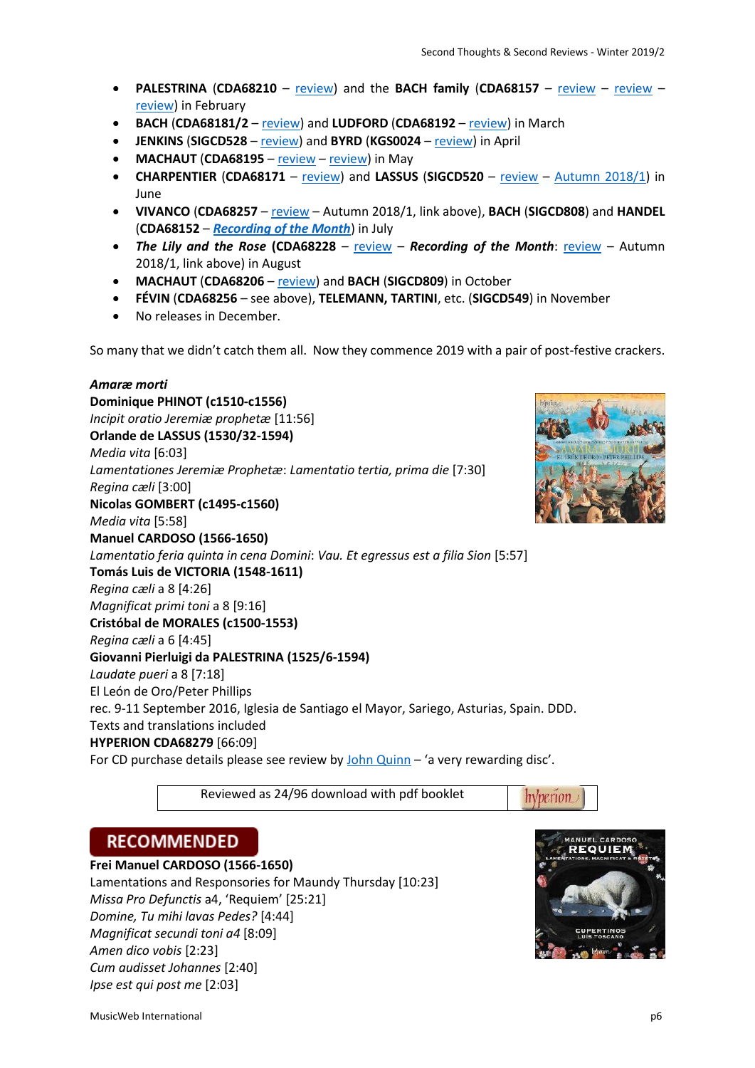- **PALESTRINA** (**CDA68210** [review\)](http://www.musicweb-international.com/classrev/2018/Apr/Palestrina_missa_CDA68210.htm) and the **BACH family** (**CDA68157** [review](http://www.musicweb-international.com/classrev/2018/Mar/Bach_magnificat_CDA68157_MR.htm) [review](http://www.musicweb-international.com/classrev/2018/Mar/Bach_magnificat_CDA68157.htm) [review\)](http://www.musicweb-international.com/classrev/2018/Mar/Spring_2018_1.pdf) in February
- **BACH** (**CDA68181/2** [review\)](http://www.musicweb-international.com/classrev/2018/Mar/Bach_mass_CDA68181.htm) and **LUDFORD** (**CDA68192** [review\)](http://www.musicweb-international.com/classrev/2018/Apr/Spring_2018_2.pdf) in March
- **JENKINS** (**SIGCD528** [review\)](http://www.musicweb-international.com/classrev/2018/Apr/Jenkins_consort_SIGCD528.htm) and **BYRD** (**KGS0024** [review\)](http://www.musicweb-international.com/classrev/2018/Mar/Byrd_motets_KGS0024.htm) in April
- **MACHAUT** (**CDA68195** [review](http://musicweb-international.com/classrev/2018/Jun/Machaut_fortune_CDA68195.htm) [review\)](http://musicweb-international.com/classrev/2018/Jul/Machaut_fortune_CDA68195.htm) in May
- **CHARPENTIER** (**CDA68171** [review\)](http://www.musicweb-international.com/classrev/2018/Aug/Charpentier_tenebres_CDA68171.htm) and **LASSUS** (**SIGCD520** [review](http://www.musicweb-international.com/classrev/2018/May/Sibylla_SIGCD520.htm) [Autumn 2018/1\)](http://www.musicweb-international.com/classrev/2018/Aug/Autumn_2018_1.pdf) in June
- **VIVANCO** (**CDA68257** [review](http://www.musicweb-international.com/classrev/2018/Aug/Vivanco_missa_CDA68257.htm) Autumn 2018/1, link above), **BACH** (**SIGCD808**) and **HANDEL** (**CDA68152** – *[Recording of the Month](http://www.musicweb-international.com/classrev/2018/Aug/Handel_base_CDA68152.htm)*) in July
- *The Lily and the Rose* **(CDA68228** [review](http://www.musicweb-international.com/classrev/2018/Aug/Lily_rose_CDA68228_GH.htm) *Recording of the Month*: [review](http://www.musicweb-international.com/classrev/2018/Aug/Lily_rose_CDA68228.htm) Autumn 2018/1, link above) in August
- **MACHAUT** (**CDA68206** [review\)](http://www.musicweb-international.com/classrev/2018/Oct/Machaut_physician_CDA68206.htm) and **BACH** (**SIGCD809**) in October
- **FÉVIN** (**CDA68256** see above), **TELEMANN, TARTINI**, etc. (**SIGCD549**) in November
- No releases in December.

So many that we didn't catch them all. Now they commence 2019 with a pair of post-festive crackers.

*Amaræ morti* **Dominique PHINOT (c1510-c1556)** *Incipit oratio Jeremiæ prophetæ* [11:56] **Orlande de LASSUS (1530/32-1594)** *Media vita* [6:03] *Lamentationes Jeremiæ Prophetæ*: *Lamentatio tertia, prima die* [7:30] *Regina cæli* [3:00] **Nicolas GOMBERT (c1495-c1560)** *Media vita* [5:58] **Manuel CARDOSO (1566-1650)** *Lamentatio feria quinta in cena Domini*: *Vau. Et egressus est a filia Sion* [5:57] **Tomás Luis de VICTORIA (1548-1611)** *Regina cæli* a 8 [4:26] *Magnificat primi toni* a 8 [9:16] **Cristóbal de MORALES (c1500-1553)** *Regina cæli* a 6 [4:45] **Giovanni Pierluigi da PALESTRINA (1525/6-1594)** *Laudate pueri* a 8 [7:18] El León de Oro/Peter Phillips rec. 9-11 September 2016, Iglesia de Santiago el Mayor, Sariego, Asturias, Spain. DDD. Texts and translations included **HYPERION CDA68279** [66:09] For CD purchase details please see review by [John Quinn](http://musicweb-international.com/classrev/2019/Jan/Amarae_morti_CDA68279.htm) – 'a very rewarding disc'.

Reviewed as 24/96 download with pdf booklet

# hvberion

# **RECOMMENDED**

**Frei Manuel CARDOSO (1566-1650)** Lamentations and Responsories for Maundy Thursday [10:23] *Missa Pro Defunctis* a4, 'Requiem' [25:21]

*Domine, Tu mihi lavas Pedes?* [4:44] *Magnificat secundi toni a4* [8:09] *Amen dico vobis* [2:23] *Cum audisset Johannes* [2:40] *Ipse est qui post me* [2:03]

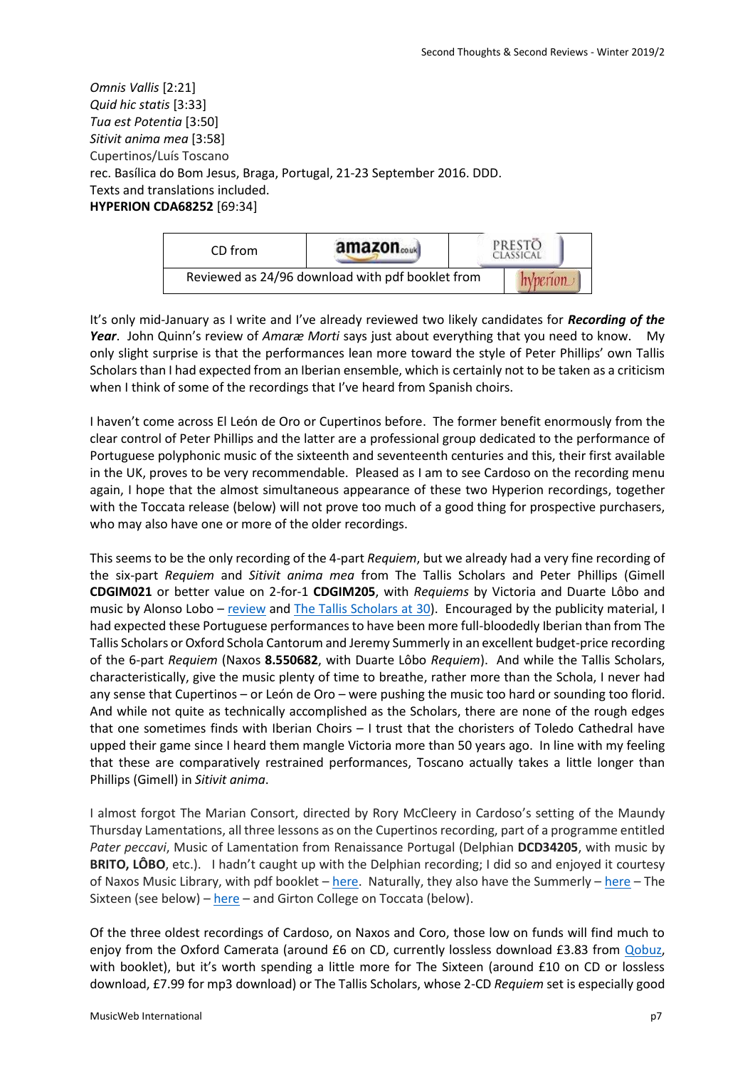*Omnis Vallis* [2:21] *Quid hic statis* [3:33] *Tua est Potentia* [3:50] *Sitivit anima mea* [3:58] Cupertinos/Luís Toscano rec. Basílica do Bom Jesus, Braga, Portugal, 21-23 September 2016. DDD. Texts and translations included. **HYPERION CDA68252** [69:34]



It's only mid-January as I write and I've already reviewed two likely candidates for *Recording of the Year*. John Quinn's review of *Amaræ Morti* says just about everything that you need to know. My only slight surprise is that the performances lean more toward the style of Peter Phillips' own Tallis Scholars than I had expected from an Iberian ensemble, which is certainly not to be taken as a criticism when I think of some of the recordings that I've heard from Spanish choirs.

I haven't come across El León de Oro or Cupertinos before. The former benefit enormously from the clear control of Peter Phillips and the latter are a professional group dedicated to the performance of Portuguese polyphonic music of the sixteenth and seventeenth centuries and this, their first available in the UK, proves to be very recommendable. Pleased as I am to see Cardoso on the recording menu again, I hope that the almost simultaneous appearance of these two Hyperion recordings, together with the Toccata release (below) will not prove too much of a good thing for prospective purchasers, who may also have one or more of the older recordings.

This seems to be the only recording of the 4-part *Requiem*, but we already had a very fine recording of the six-part *Requiem* and *Sitivit anima mea* from The Tallis Scholars and Peter Phillips (Gimell **CDGIM021** or better value on 2-for-1 **CDGIM205**, with *Requiems* by Victoria and Duarte Lôbo and music by Alonso Lobo – [review](http://www.musicweb-international.com/classrev/2009/Feb09/Lobo_Gimell.htm) and [The Tallis Scholars at](http://www.musicweb-international.com/classrev/2010/May10/Tallis_scholars_at_30.htm) 30). Encouraged by the publicity material, I had expected these Portuguese performances to have been more full-bloodedly Iberian than from The Tallis Scholars or Oxford Schola Cantorum and Jeremy Summerly in an excellent budget-price recording of the 6-part *Requiem* (Naxos **8.550682**, with Duarte Lôbo *Requiem*). And while the Tallis Scholars, characteristically, give the music plenty of time to breathe, rather more than the Schola, I never had any sense that Cupertinos – or León de Oro – were pushing the music too hard or sounding too florid. And while not quite as technically accomplished as the Scholars, there are none of the rough edges that one sometimes finds with Iberian Choirs – I trust that the choristers of Toledo Cathedral have upped their game since I heard them mangle Victoria more than 50 years ago. In line with my feeling that these are comparatively restrained performances, Toscano actually takes a little longer than Phillips (Gimell) in *Sitivit anima*.

I almost forgot The Marian Consort, directed by Rory McCleery in Cardoso's setting of the Maundy Thursday Lamentations, all three lessons as on the Cupertinos recording, part of a programme entitled *Pater peccavi*, Music of Lamentation from Renaissance Portugal (Delphian **DCD34205**, with music by **BRITO, LÔBO**, etc.). I hadn't caught up with the Delphian recording; I did so and enjoyed it courtesy of Naxos Music Library, with pdf booklet – [here.](https://www.naxosmusiclibrary.com/catalogue/item.asp?cid=DCD34205) Naturally, they also have the Summerly – [here](https://www.naxosmusiclibrary.com/catalogue/item.asp?cid=8.550682) – The Sixteen (see below) – [here](https://www.naxosmusiclibrary.com/catalogue/item.asp?cid=COR16032) – and Girton College on Toccata (below).

Of the three oldest recordings of Cardoso, on Naxos and Coro, those low on funds will find much to enjoy from the Oxford Camerata (around £6 on CD, currently lossless download £3.83 from [Qobuz,](https://www.qobuz.com/gb-en/album/lobo-d-cardoso-portuguese-requiem-masses-duarte-lobo-mass-text-manuel-cardoso/0730099568227) with booklet), but it's worth spending a little more for The Sixteen (around £10 on CD or lossless download, £7.99 for mp3 download) or The Tallis Scholars, whose 2-CD *Requiem* set is especially good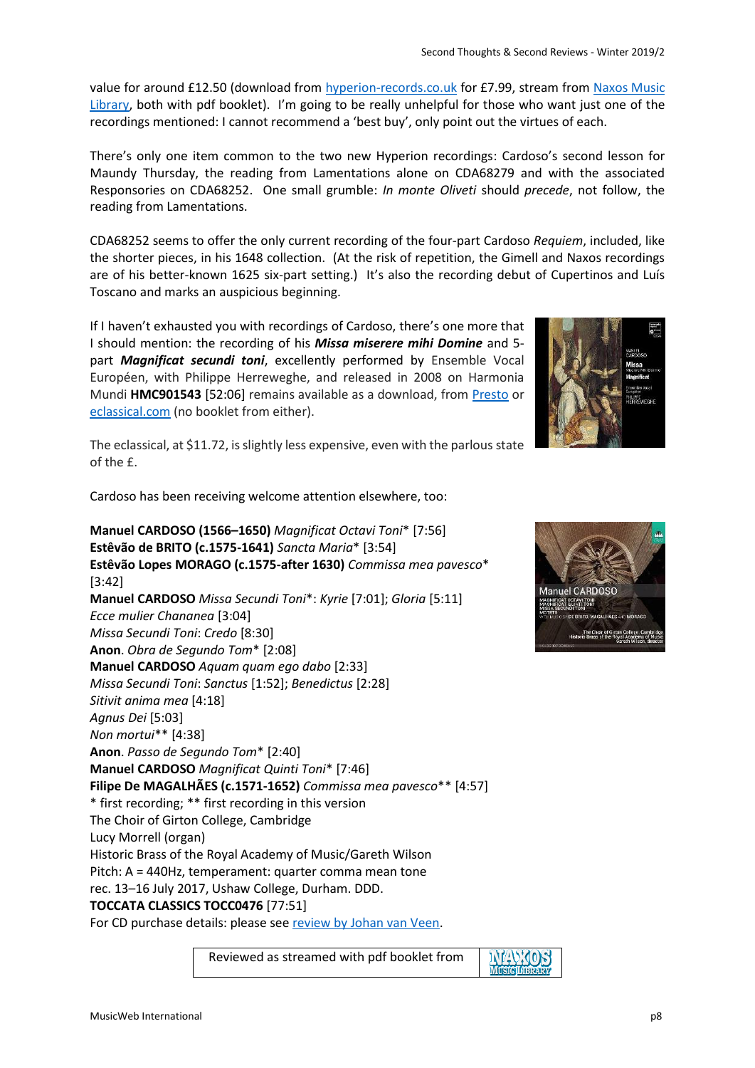value for around £12.50 (download from [hyperion-records.co.uk](https://www.hyperion-records.co.uk/dc.asp?dc=D_CDGIM205) for £7.99, stream from [Naxos Music](https://www.naxosmusiclibrary.com/catalogue/item.asp?cid=CDGIM021)  [Library,](https://www.naxosmusiclibrary.com/catalogue/item.asp?cid=CDGIM021) both with pdf booklet). I'm going to be really unhelpful for those who want just one of the recordings mentioned: I cannot recommend a 'best buy', only point out the virtues of each.

There's only one item common to the two new Hyperion recordings: Cardoso's second lesson for Maundy Thursday, the reading from Lamentations alone on CDA68279 and with the associated Responsories on CDA68252. One small grumble: *In monte Oliveti* should *precede*, not follow, the reading from Lamentations.

CDA68252 seems to offer the only current recording of the four-part Cardoso *Requiem*, included, like the shorter pieces, in his 1648 collection. (At the risk of repetition, the Gimell and Naxos recordings are of his better-known 1625 six-part setting.) It's also the recording debut of Cupertinos and Luís Toscano and marks an auspicious beginning.

If I haven't exhausted you with recordings of Cardoso, there's one more that I should mention: the recording of his *Missa miserere mihi Domine* and 5 part *Magnificat secundi toni*, excellently performed by Ensemble Vocal Européen, with Philippe Herreweghe, and released in 2008 on Harmonia Mundi **HMC901543** [52:06] remains available as a download, from [Presto](https://www.prestomusic.com/classical/products/8056734--cardoso-missa-miserere-mihi-domine) or [eclassical.com](http://www.eclassical.com/harmonia-mundi/cardoso-missa-miserere-mihi-domine.html) (no booklet from either).



The eclassical, at \$11.72, is slightly less expensive, even with the parlous state of the £.

Cardoso has been receiving welcome attention elsewhere, too:

**Manuel CARDOSO (1566–1650)** *Magnificat Octavi Toni*\* [7:56] **Estêvão de BRITO (c.1575-1641)** *Sancta Maria*\* [3:54] **Estêvão Lopes MORAGO (c.1575-after 1630)** *Commissa mea pavesco*\* [3:42] **Manuel CARDOSO** *Missa Secundi Toni*\*: *Kyrie* [7:01]; *Gloria* [5:11] *Ecce mulier Chananea* [3:04] *Missa Secundi Toni*: *Credo* [8:30] **Anon**. *Obra de Segundo Tom*\* [2:08] **Manuel CARDOSO** *Aquam quam ego dabo* [2:33] *Missa Secundi Toni*: *Sanctus* [1:52]; *Benedictus* [2:28] *Sitivit anima mea* [4:18] *Agnus Dei* [5:03] *Non mortui*\*\* [4:38] **Anon**. *Passo de Segundo Tom*\* [2:40] **Manuel CARDOSO** *Magnificat Quinti Toni*\* [7:46] **Filipe De MAGALHÃES (c.1571-1652)** *Commissa mea pavesco*\*\* [4:57] \* first recording; \*\* first recording in this version The Choir of Girton College, Cambridge Lucy Morrell (organ) Historic Brass of the Royal Academy of Music/Gareth Wilson Pitch: A = 440Hz, temperament: quarter comma mean tone rec. 13–16 July 2017, Ushaw College, Durham. DDD. **TOCCATA CLASSICS TOCC0476** [77:51] For CD purchase details: please se[e review by Johan van Veen.](http://musicweb-international.com/classrev/2019/Feb/Cardoso_magnificat_TOCC0476.htm)

Reviewed as streamed with pdf booklet from

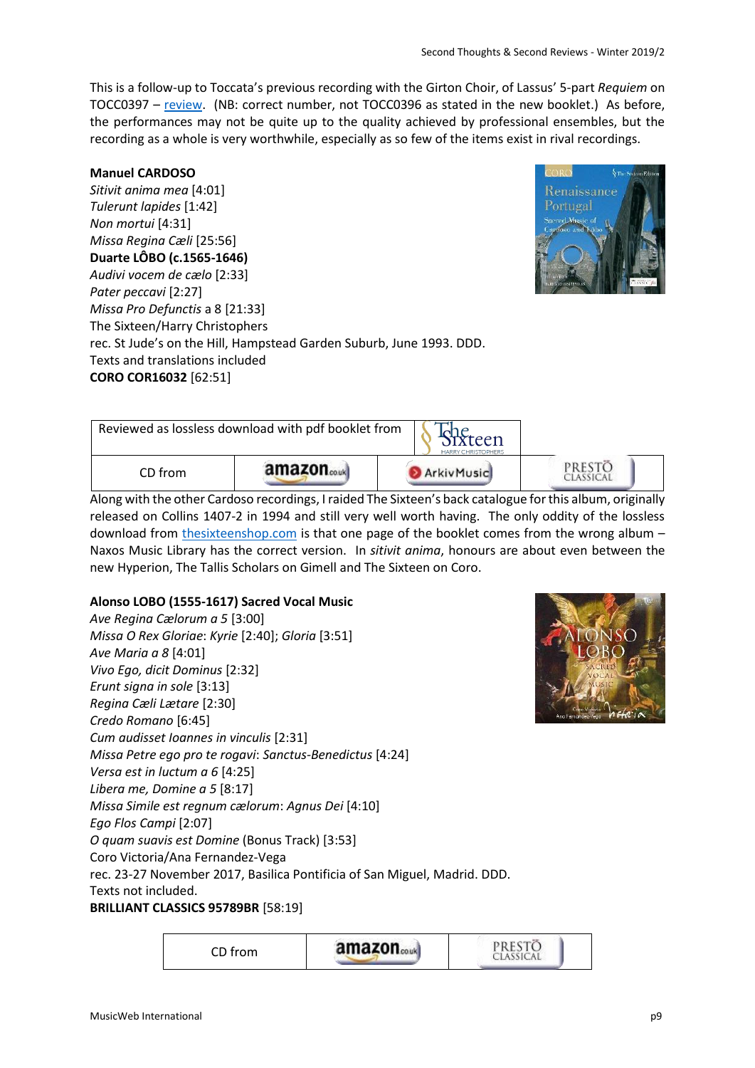This is a follow-up to Toccata's previous recording with the Girton Choir, of Lassus' 5-part *Requiem* on TOCC0397 – [review.](http://www.musicweb-international.com/classrev/2017/Jul/Lassus_requiem_TOCC0397.htm) (NB: correct number, not TOCC0396 as stated in the new booklet.) As before, the performances may not be quite up to the quality achieved by professional ensembles, but the recording as a whole is very worthwhile, especially as so few of the items exist in rival recordings.

### **Manuel CARDOSO**

*Sitivit anima mea* [4:01] *Tulerunt lapides* [1:42] *Non mortui* [4:31] *Missa Regina Cæli* [25:56] **Duarte LÔBO (c.1565-1646)** *Audivi vocem de cælo* [2:33] *Pater peccavi* [2:27] *Missa Pro Defunctis* a 8 [21:33] The Sixteen/Harry Christophers rec. St Jude's on the Hill, Hampstead Garden Suburb, June 1993. DDD. Texts and translations included **CORO COR16032** [62:51]



| Reviewed as lossless download with pdf booklet from<br>xteen<br><b>HARRY CHRISTOPHERS</b> |                        |            |       |
|-------------------------------------------------------------------------------------------|------------------------|------------|-------|
| CD from                                                                                   | amazon <sub>couk</sub> | ArkivMusic | PREST |

Along with the other Cardoso recordings, I raided The Sixteen's back catalogue forthis album, originally released on Collins 1407-2 in 1994 and still very well worth having. The only oddity of the lossless download from [thesixteenshop.com](https://thesixteenshop.com/products/cor16032) is that one page of the booklet comes from the wrong album -Naxos Music Library has the correct version. In *sitivit anima*, honours are about even between the new Hyperion, The Tallis Scholars on Gimell and The Sixteen on Coro.

### **Alonso LOBO (1555-1617) Sacred Vocal Music**

*Ave Regina Cælorum a 5* [3:00] *Missa O Rex Gloriae*: *Kyrie* [2:40]; *Gloria* [3:51] *Ave Maria a 8* [4:01] *Vivo Ego, dicit Dominus* [2:32] *Erunt signa in sole* [3:13] *Regina Cæli Lætare* [2:30] *Credo Romano* [6:45] *Cum audisset Ioannes in vinculis* [2:31] *Missa Petre ego pro te rogavi*: *Sanctus-Benedictus* [4:24] *Versa est in luctum a 6* [4:25] *Libera me, Domine a 5* [8:17] *Missa Simile est regnum cælorum*: *Agnus Dei* [4:10] *Ego Flos Campi* [2:07] *O quam suavis est Domine* (Bonus Track) [3:53] Coro Victoria/Ana Fernandez-Vega rec. 23-27 November 2017, Basilica Pontificia of San Miguel, Madrid. DDD. Texts not included. **BRILLIANT CLASSICS 95789BR** [58:19]

> **PRESTO** amazon.... CD from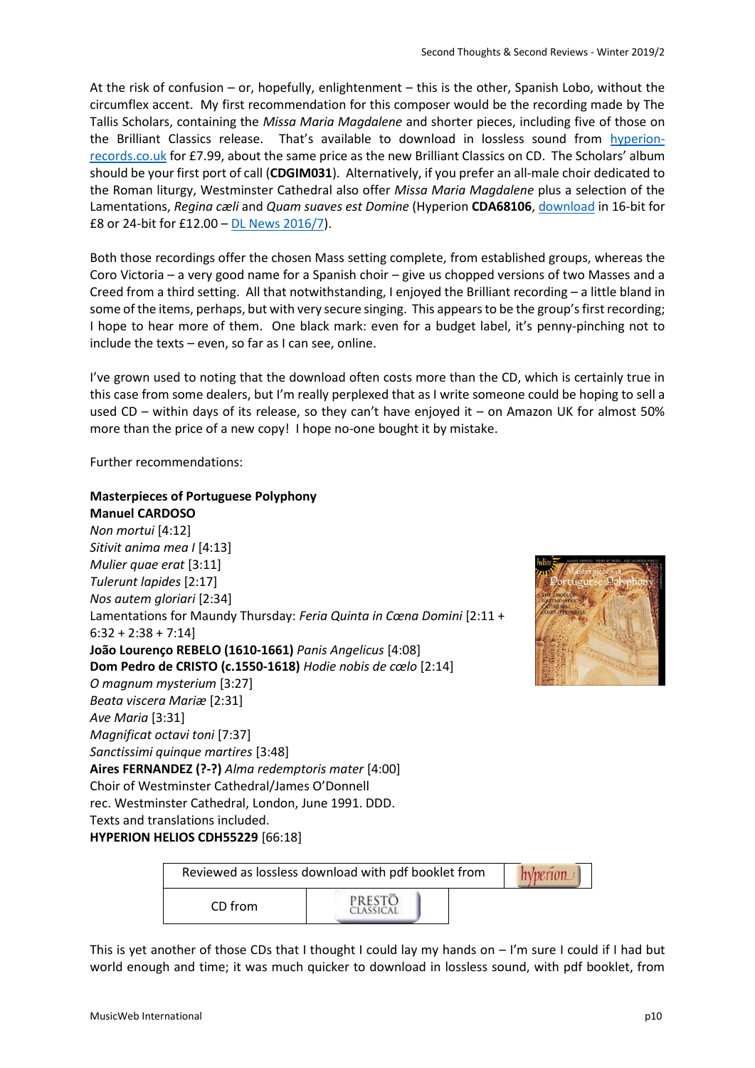At the risk of confusion – or, hopefully, enlightenment – this is the other, Spanish Lobo, without the circumflex accent. My first recommendation for this composer would be the recording made by The Tallis Scholars, containing the *Missa Maria Magdalene* and shorter pieces, including five of those on the Brilliant Classics release. That's available to download in lossless sound from [hyperion](https://www.hyperion-records.co.uk/dc.asp?dc=D_CDGIM031)[records.co.uk](https://www.hyperion-records.co.uk/dc.asp?dc=D_CDGIM031) for £7.99, about the same price as the new Brilliant Classics on CD. The Scholars' album should be your first port of call (**CDGIM031**). Alternatively, if you prefer an all-male choir dedicated to the Roman liturgy, Westminster Cathedral also offer *Missa Maria Magdalene* plus a selection of the Lamentations, *Regina cæli* and *Quam suaves est Domine* (Hyperion **CDA68106**[, download](https://www.hyperion-records.co.uk/dc.asp?dc=D_CDA68106) in 16-bit for £8 or 24-bit for £12.00 – [DL News 2016/7\)](http://www.musicweb-international.com/classrev/2016/Jun/DL_News_2016_7.htm).

Both those recordings offer the chosen Mass setting complete, from established groups, whereas the Coro Victoria – a very good name for a Spanish choir – give us chopped versions of two Masses and a Creed from a third setting. All that notwithstanding, I enjoyed the Brilliant recording – a little bland in some of the items, perhaps, but with very secure singing. This appears to be the group's first recording; I hope to hear more of them. One black mark: even for a budget label, it's penny-pinching not to include the texts – even, so far as I can see, online.

I've grown used to noting that the download often costs more than the CD, which is certainly true in this case from some dealers, but I'm really perplexed that as I write someone could be hoping to sell a used CD – within days of its release, so they can't have enjoyed it – on Amazon UK for almost 50% more than the price of a new copy! I hope no-one bought it by mistake.

Further recommendations:

### **Masterpieces of Portuguese Polyphony**

**Manuel CARDOSO** *Non mortui* [4:12] *Sitivit anima mea I* [4:13] *Mulier quae erat* [3:11] *Tulerunt lapides* [2:17] *Nos autem gloriari* [2:34] Lamentations for Maundy Thursday: *Feria Quinta in Cœna Domini* [2:11 +  $6:32 + 2:38 + 7:14$ **João Lourenço REBELO (1610-1661)** *Panis Angelicus* [4:08] **Dom Pedro de CRISTO (c.1550-1618)** *Hodie nobis de cœlo* [2:14] *O magnum mysterium* [3:27] *Beata viscera Mariæ* [2:31] *Ave Maria* [3:31] *Magnificat octavi toni* [7:37] *Sanctissimi quinque martires* [3:48] **Aires FERNANDEZ (?-?)** *Alma redemptoris mater* [4:00] Choir of Westminster Cathedral/James O'Donnell rec. Westminster Cathedral, London, June 1991. DDD. Texts and translations included. **HYPERION HELIOS CDH55229** [66:18]



| Reviewed as lossless download with pdf booklet from |        |  |
|-----------------------------------------------------|--------|--|
| CD from                                             | PRESTO |  |

This is yet another of those CDs that I thought I could lay my hands on  $-1$ 'm sure I could if I had but world enough and time; it was much quicker to download in lossless sound, with pdf booklet, from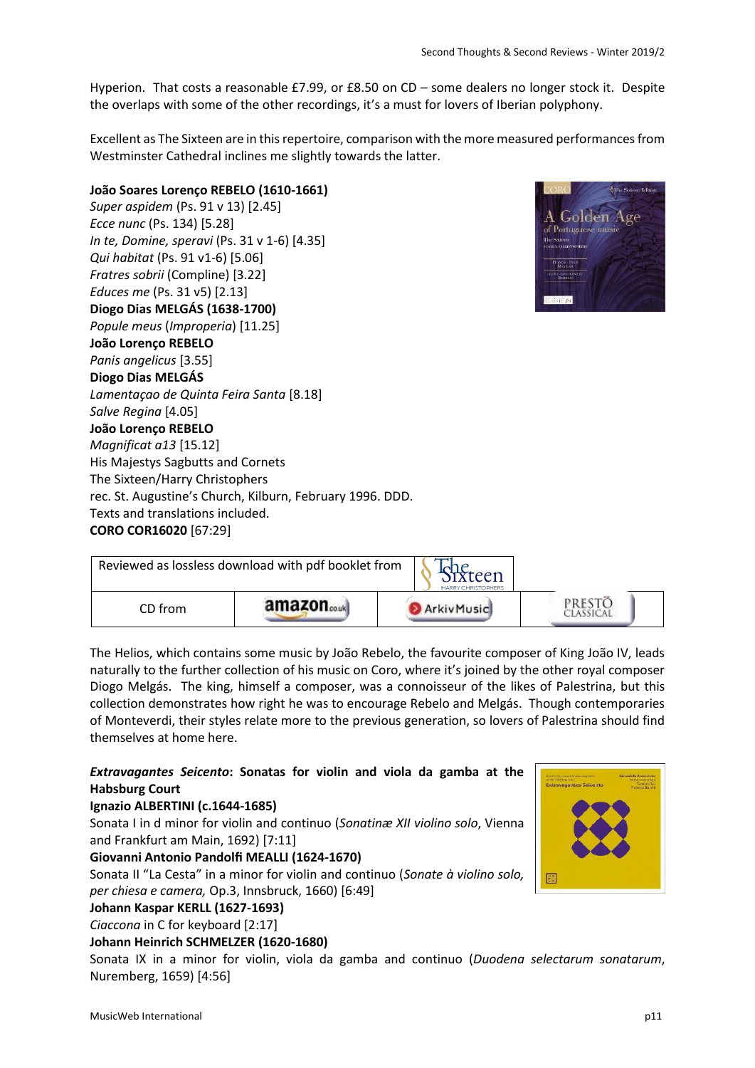Hyperion. That costs a reasonable £7.99, or £8.50 on CD – some dealers no longer stock it. Despite the overlaps with some of the other recordings, it's a must for lovers of Iberian polyphony.

Excellent as The Sixteen are in this repertoire, comparison with the more measured performances from Westminster Cathedral inclines me slightly towards the latter.

# **João Soares Lorenço REBELO (1610-1661)** *Super aspidem* (Ps. 91 v 13) [2.45] *Ecce nunc* (Ps. 134) [5.28] *In te, Domine, speravi* (Ps. 31 v 1-6) [4.35] *Qui habitat* (Ps. 91 v1-6) [5.06] *Fratres sobrii* (Compline) [3.22] *Educes me* (Ps. 31 v5) [2.13] **Diogo Dias MELGÁS (1638-1700)** *Popule meus* (*Improperia*) [11.25] **João Lorenço REBELO**  *Panis angelicus* [3.55] **Diogo Dias MELGÁS**  *Lamentaçao de Quinta Feira Santa* [8.18] *Salve Regina* [4.05] **João Lorenço REBELO**  *Magnificat a13* [15.12] His Majestys Sagbutts and Cornets The Sixteen/Harry Christophers rec. St. Augustine's Church, Kilburn, February 1996. DDD. Texts and translations included. **CORO COR16020** [67:29]

| Reviewed as lossless download with pdf booklet from<br>teen<br><b>HARRY CHRISTOPHERS</b> |        |            |  |
|------------------------------------------------------------------------------------------|--------|------------|--|
| CD from                                                                                  | amazon | ArkivMusic |  |

The Helios, which contains some music by João Rebelo, the favourite composer of King João IV, leads naturally to the further collection of his music on Coro, where it's joined by the other royal composer Diogo Melgás. The king, himself a composer, was a connoisseur of the likes of Palestrina, but this collection demonstrates how right he was to encourage Rebelo and Melgás. Though contemporaries of Monteverdi, their styles relate more to the previous generation, so lovers of Palestrina should find themselves at home here.

# *Extravagantes Seicento***: Sonatas for violin and viola da gamba at the Habsburg Court**

### **Ignazio ALBERTINI (c.1644-1685)**

Sonata I in d minor for violin and continuo (*Sonatinæ XII violino solo*, Vienna and Frankfurt am Main, 1692) [7:11]

# **Giovanni Antonio Pandolfi MEALLI (1624-1670)**

Sonata II "La Cesta" in a minor for violin and continuo (*Sonate à violino solo, per chiesa e camera,* Op.3, Innsbruck, 1660) [6:49]

# **Johann Kaspar KERLL (1627-1693)**

*Ciaccona* in C for keyboard [2:17]

### **Johann Heinrich SCHMELZER (1620-1680)**

Sonata IX in a minor for violin, viola da gamba and continuo (*Duodena selectarum sonatarum*, Nuremberg, 1659) [4:56]

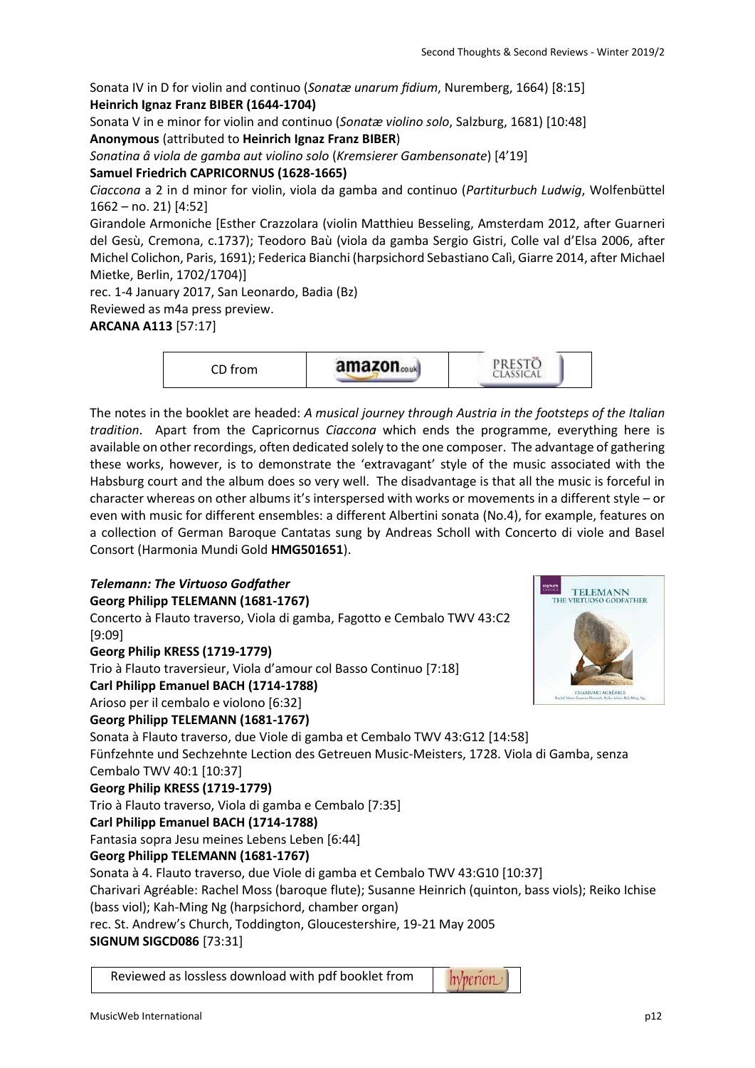Sonata IV in D for violin and continuo (*Sonatæ unarum fidium*, Nuremberg, 1664) [8:15] **Heinrich Ignaz Franz BIBER (1644-1704)**

Sonata V in e minor for violin and continuo (*Sonatæ violino solo*, Salzburg, 1681) [10:48] **Anonymous** (attributed to **Heinrich Ignaz Franz BIBER**)

*Sonatina â viola de gamba aut violino solo* (*Kremsierer Gambensonate*) [4'19]

**Samuel Friedrich CAPRICORNUS (1628-1665)**

*Ciaccona* a 2 in d minor for violin, viola da gamba and continuo (*Partiturbuch Ludwig*, Wolfenbüttel 1662 – no. 21) [4:52]

Girandole Armoniche [Esther Crazzolara (violin Matthieu Besseling, Amsterdam 2012, after Guarneri del Gesù, Cremona, c.1737); Teodoro Baù (viola da gamba Sergio Gistri, Colle val d'Elsa 2006, after Michel Colichon, Paris, 1691); Federica Bianchi (harpsichord Sebastiano Calì, Giarre 2014, after Michael Mietke, Berlin, 1702/1704)]

rec. 1-4 January 2017, San Leonardo, Badia (Bz)

Reviewed as m4a press preview.

**ARCANA A113** [57:17]

PRESTÖ<br>CLASSICAL amazon.... CD from

The notes in the booklet are headed: *A musical journey through Austria in the footsteps of the Italian tradition*. Apart from the Capricornus *Ciaccona* which ends the programme, everything here is available on other recordings, often dedicated solely to the one composer. The advantage of gathering these works, however, is to demonstrate the 'extravagant' style of the music associated with the Habsburg court and the album does so very well. The disadvantage is that all the music is forceful in character whereas on other albums it's interspersed with works or movements in a different style – or even with music for different ensembles: a different Albertini sonata (No.4), for example, features on a collection of German Baroque Cantatas sung by Andreas Scholl with Concerto di viole and Basel Consort (Harmonia Mundi Gold **HMG501651**).

# *Telemann: The Virtuoso Godfather*

**Georg Philipp TELEMANN (1681-1767)** 

Concerto à Flauto traverso, Viola di gamba, Fagotto e Cembalo TWV 43:C2 [9:09]

**Georg Philip KRESS (1719-1779)** 

Trio à Flauto traversieur, Viola d'amour col Basso Continuo [7:18]

**Carl Philipp Emanuel BACH (1714-1788)** 

Arioso per il cembalo e violono [6:32]

# **Georg Philipp TELEMANN (1681-1767)**

Sonata à Flauto traverso, due Viole di gamba et Cembalo TWV 43:G12 [14:58] Fünfzehnte und Sechzehnte Lection des Getreuen Music-Meisters, 1728. Viola di Gamba, senza

Cembalo TWV 40:1 [10:37]

# **Georg Philip KRESS (1719-1779)**

Trio à Flauto traverso, Viola di gamba e Cembalo [7:35]

# **Carl Philipp Emanuel BACH (1714-1788)**

Fantasia sopra Jesu meines Lebens Leben [6:44]

# **Georg Philipp TELEMANN (1681-1767)**

Sonata à 4. Flauto traverso, due Viole di gamba et Cembalo TWV 43:G10 [10:37]

Charivari Agréable: Rachel Moss (baroque flute); Susanne Heinrich (quinton, bass viols); Reiko Ichise (bass viol); Kah-Ming Ng (harpsichord, chamber organ)

rec. St. Andrew's Church, Toddington, Gloucestershire, 19-21 May 2005

### **SIGNUM SIGCD086** [73:31]

Reviewed as lossless download with pdf booklet from



*hyperion\_*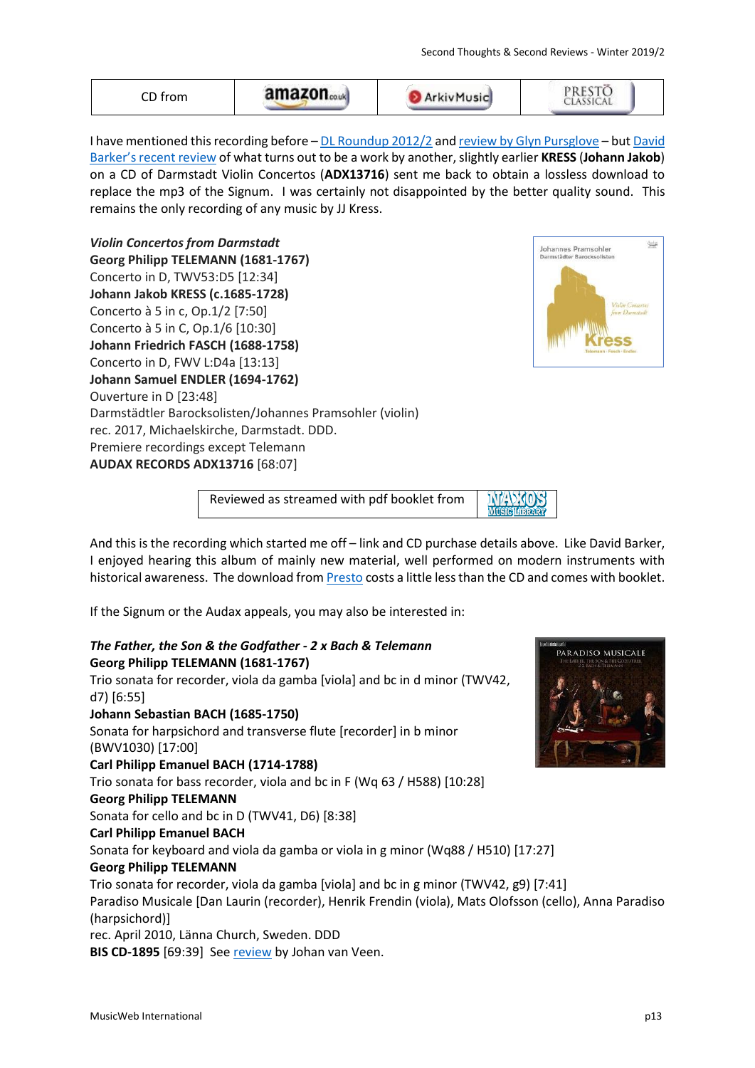| I have mentioned this recording before - DL Roundup 2012/2 and review by Glyn Pursglove - but David     |
|---------------------------------------------------------------------------------------------------------|
| Barker's recent review of what turns out to be a work by another, slightly earlier KRESS (Johann Jakob) |
| on a CD of Darmstadt Violin Concertos (ADX13716) sent me back to obtain a lossless download to          |
| replace the mp3 of the Signum. I was certainly not disappointed by the better quality sound. This       |
| remains the only recording of any music by JJ Kress.                                                    |

**D** ArkivMusic

amazon.....

*Violin Concertos from Darmstadt* **Georg Philipp TELEMANN (1681-1767)** Concerto in D, TWV53:D5 [12:34] **Johann Jakob KRESS (c.1685-1728)** Concerto à 5 in c, Op.1/2 [7:50] Concerto à 5 in C, Op.1/6 [10:30] **Johann Friedrich FASCH (1688-1758)** Concerto in D, FWV L:D4a [13:13] **Johann Samuel ENDLER (1694-1762)** Ouverture in D [23:48] Darmstädtler Barocksolisten/Johannes Pramsohler (violin) rec. 2017, Michaelskirche, Darmstadt. DDD. Premiere recordings except Telemann **AUDAX RECORDS ADX13716** [68:07]

CD from



Johannes Pramsohler

 $\frac{\text{Audax}}{\text{Audax}}$ 

PRESTÖ<br>CLASSICAL

Reviewed as streamed with pdf booklet from

And this is the recording which started me off – link and CD purchase details above. Like David Barker, I enjoyed hearing this album of mainly new material, well performed on modern instruments with historical awareness. The download fro[m Presto](http://www.prestomusic.com/aff/1004/classical/products/8500242--violin-concertos-from-darmstadt) costs a little less than the CD and comes with booklet.

If the Signum or the Audax appeals, you may also be interested in:

# *The Father, the Son & the Godfather - 2 x Bach & Telemann* **Georg Philipp TELEMANN (1681-1767)** Trio sonata for recorder, viola da gamba [viola] and bc in d minor (TWV42, d7) [6:55] **Johann Sebastian BACH (1685-1750)** Sonata for harpsichord and transverse flute [recorder] in b minor (BWV1030) [17:00] **Carl Philipp Emanuel BACH (1714-1788)** Trio sonata for bass recorder, viola and bc in F (Wq 63 / H588) [10:28] **Georg Philipp TELEMANN** Sonata for cello and bc in D (TWV41, D6) [8:38] **Carl Philipp Emanuel BACH** Sonata for keyboard and viola da gamba or viola in g minor (Wq88 / H510) [17:27] **Georg Philipp TELEMANN** Trio sonata for recorder, viola da gamba [viola] and bc in g minor (TWV42, g9) [7:41] Paradiso Musicale [Dan Laurin (recorder), Henrik Frendin (viola), Mats Olofsson (cello), Anna Paradiso (harpsichord)] rec. April 2010, Länna Church, Sweden. DDD **BIS CD-1895** [69:39] See [review](http://www.musicweb-international.com/classrev/2012/Aug12/Father_BISCD1895.htm) by Johan van Veen.

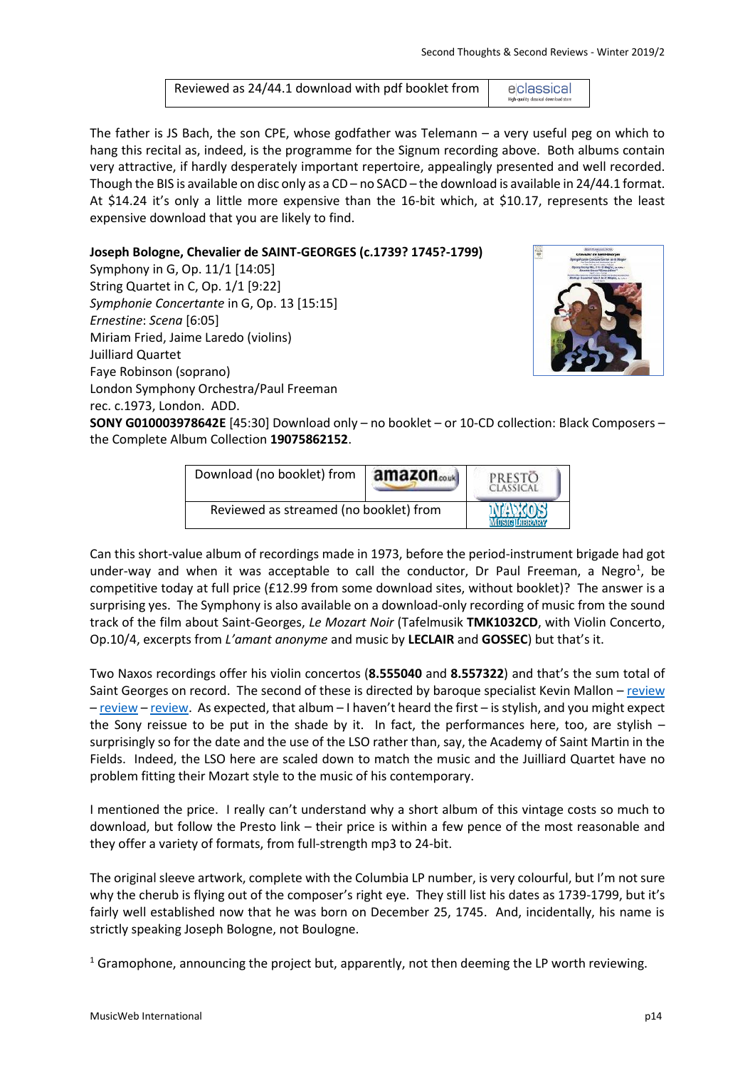Reviewed as 24/44.1 download with pdf booklet from eclassical

The father is JS Bach, the son CPE, whose godfather was Telemann – a very useful peg on which to hang this recital as, indeed, is the programme for the Signum recording above. Both albums contain very attractive, if hardly desperately important repertoire, appealingly presented and well recorded. Though the BIS is available on disc only as a CD – no SACD – the download is available in 24/44.1 format. At \$14.24 it's only a little more expensive than the 16-bit which, at \$10.17, represents the least expensive download that you are likely to find.

**Joseph Bologne, Chevalier de SAINT-GEORGES (c.1739? 1745?-1799)**

Symphony in G, Op. 11/1 [14:05] String Quartet in C, Op. 1/1 [9:22] *Symphonie Concertante* in G, Op. 13 [15:15] *Ernestine*: *Scena* [6:05] Miriam Fried, Jaime Laredo (violins) Juilliard Quartet Faye Robinson (soprano) London Symphony Orchestra/Paul Freeman rec. c.1973, London. ADD.



**SONY G010003978642E** [45:30] Download only – no booklet – or 10-CD collection: Black Composers – the Complete Album Collection **19075862152**.

| Download (no booklet) from             | amazon <sub>couk</sub> | PRESTO |
|----------------------------------------|------------------------|--------|
| Reviewed as streamed (no booklet) from |                        |        |

Can this short-value album of recordings made in 1973, before the period-instrument brigade had got under-way and when it was acceptable to call the conductor, Dr Paul Freeman, a Negro<sup>1</sup>, be competitive today at full price (£12.99 from some download sites, without booklet)? The answer is a surprising yes. The Symphony is also available on a download-only recording of music from the sound track of the film about Saint-Georges, *Le Mozart Noir* (Tafelmusik **TMK1032CD**, with Violin Concerto, Op.10/4, excerpts from *L'amant anonyme* and music by **LECLAIR** and **GOSSEC**) but that's it.

Two Naxos recordings offer his violin concertos (**8.555040** and **8.557322**) and that's the sum total of Saint Georges on record. The second of these is directed by baroque specialist Kevin Mallon – [review](http://www.musicweb-international.com/classrev/2004/oct04/boulogne.htm) – [review](http://www.musicweb-international.com/classrev/2004/sept04/boulogne.htm) – [review.](http://www.musicweb-international.com/classrev/2004/aug04/boulogne.htm) As expected, that album – I haven't heard the first – is stylish, and you might expect the Sony reissue to be put in the shade by it. In fact, the performances here, too, are stylish – surprisingly so for the date and the use of the LSO rather than, say, the Academy of Saint Martin in the Fields. Indeed, the LSO here are scaled down to match the music and the Juilliard Quartet have no problem fitting their Mozart style to the music of his contemporary.

I mentioned the price. I really can't understand why a short album of this vintage costs so much to download, but follow the Presto link – their price is within a few pence of the most reasonable and they offer a variety of formats, from full-strength mp3 to 24-bit.

The original sleeve artwork, complete with the Columbia LP number, is very colourful, but I'm not sure why the cherub is flying out of the composer's right eye. They still list his dates as 1739-1799, but it's fairly well established now that he was born on December 25, 1745. And, incidentally, his name is strictly speaking Joseph Bologne, not Boulogne.

<sup>1</sup> Gramophone, announcing the project but, apparently, not then deeming the LP worth reviewing.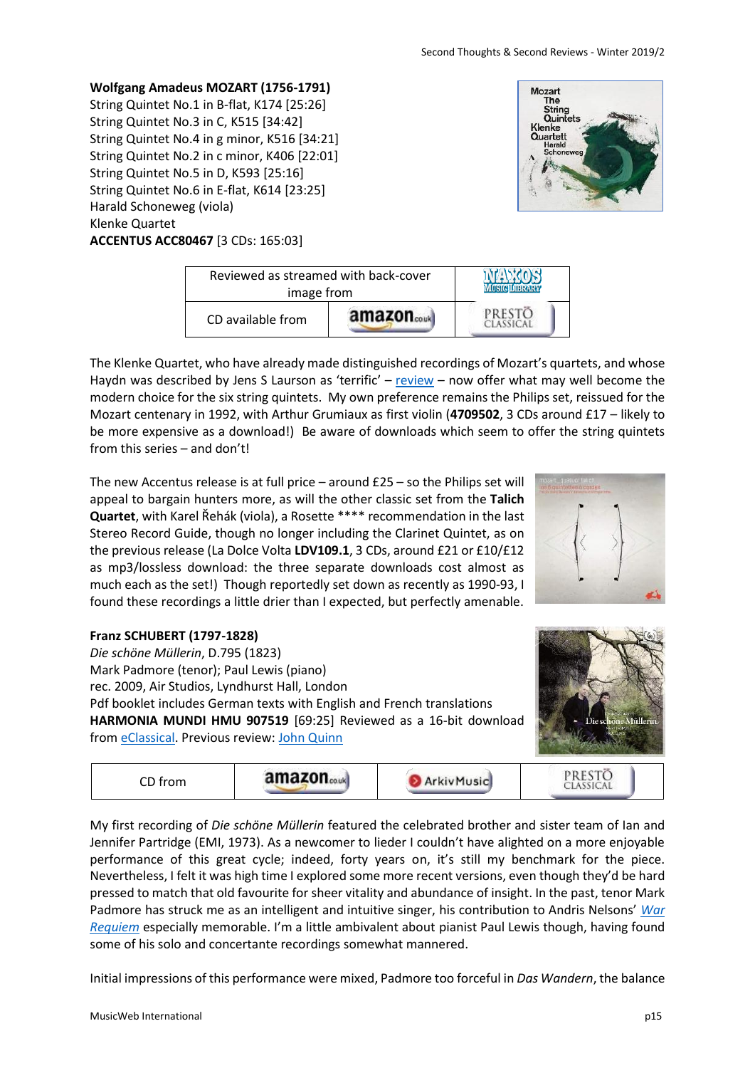Initial impressions of this performance were mixed, Padmore too forceful in *Das Wandern*, the balance

String Quintet No.1 in B-flat, K174 [25:26] String Quintet No.3 in C, K515 [34:42] String Quintet No.4 in g minor, K516 [34:21] String Quintet No.2 in c minor, K406 [22:01] String Quintet No.5 in D, K593 [25:16] String Quintet No.6 in E-flat, K614 [23:25] Harald Schoneweg (viola) Klenke Quartet **ACCENTUS ACC80467** [3 CDs: 165:03]

**Wolfgang Amadeus MOZART (1756-1791)**

| Reviewed as streamed with back-cover<br>image from |        |  |
|----------------------------------------------------|--------|--|
| CD available from                                  | amazon |  |

The Klenke Quartet, who have already made distinguished recordings of Mozart's quartets, and whose Haydn was described by Jens S Laurson as 'terrific' – [review](http://www.musicweb-international.com/classrev/2008/Aug08/Haydn_0016312bc.htm) – now offer what may well become the modern choice for the six string quintets. My own preference remains the Philips set, reissued for the Mozart centenary in 1992, with Arthur Grumiaux as first violin (**4709502**, 3 CDs around £17 – likely to be more expensive as a download!) Be aware of downloads which seem to offer the string quintets from this series – and don't!

The new Accentus release is at full price – around £25 – so the Philips set will appeal to bargain hunters more, as will the other classic set from the **Talich Quartet**, with Karel Řehák (viola), a Rosette \*\*\*\* recommendation in the last Stereo Record Guide, though no longer including the Clarinet Quintet, as on the previous release (La Dolce Volta **LDV109.1**, 3 CDs, around £21 or £10/£12 as mp3/lossless download: the three separate downloads cost almost as much each as the set!) Though reportedly set down as recently as 1990-93, I found these recordings a little drier than I expected, but perfectly amenable.

# **Franz SCHUBERT (1797-1828)**

*Die schöne Müllerin*, D.795 (1823) Mark Padmore (tenor); Paul Lewis (piano) rec. 2009, Air Studios, Lyndhurst Hall, London Pdf booklet includes German texts with English and French translations **HARMONIA MUNDI HMU 907519** [69:25] Reviewed as a 16-bit download from [eClassical.](http://www.eclassical.com/harmonia-mundi/schubert-die-schone-mullerin-op-25-d-795-1.html) Previous review[: John Quinn](http://www.musicweb-international.com/classrev/2010/Oct10/Schubert_Mullerin_HMU907519.htm)

amazon.....

PRESTO<br>Classical CD from **ArkivMusic** My first recording of *Die schöne Müllerin* featured the celebrated brother and sister team of Ian and Jennifer Partridge (EMI, 1973). As a newcomer to lieder I couldn't have alighted on a more enjoyable





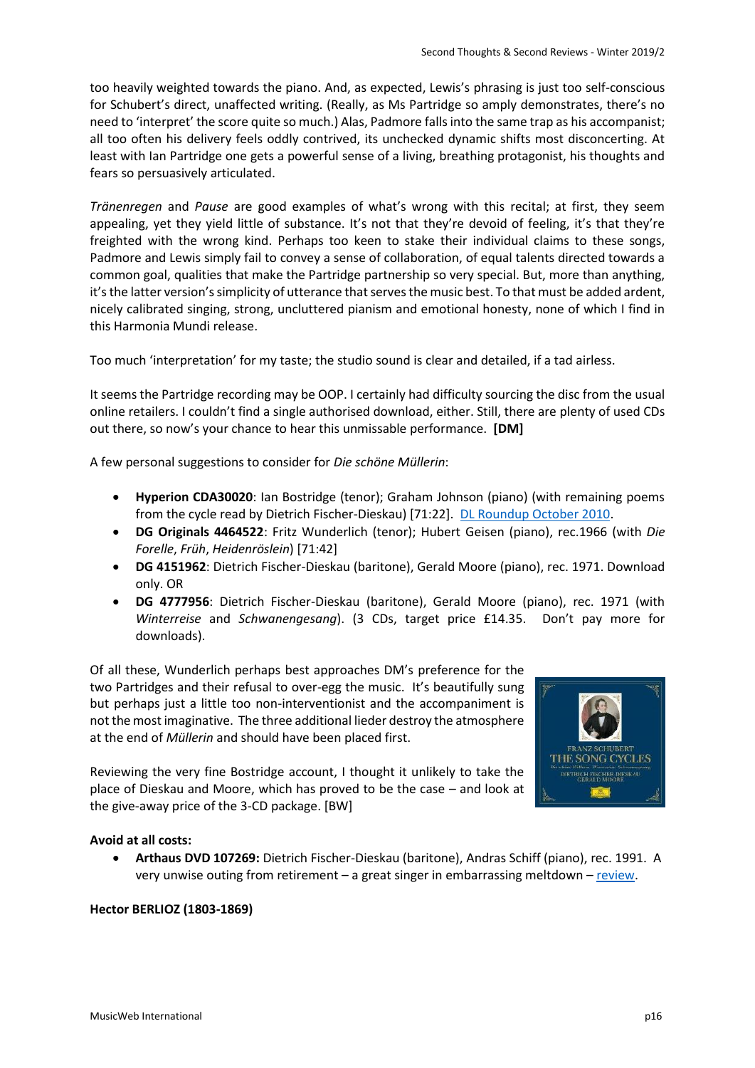too heavily weighted towards the piano. And, as expected, Lewis's phrasing is just too self-conscious for Schubert's direct, unaffected writing. (Really, as Ms Partridge so amply demonstrates, there's no need to 'interpret' the score quite so much.) Alas, Padmore falls into the same trap as his accompanist; all too often his delivery feels oddly contrived, its unchecked dynamic shifts most disconcerting. At least with Ian Partridge one gets a powerful sense of a living, breathing protagonist, his thoughts and fears so persuasively articulated.

*Tränenregen* and *Pause* are good examples of what's wrong with this recital; at first, they seem appealing, yet they yield little of substance. It's not that they're devoid of feeling, it's that they're freighted with the wrong kind. Perhaps too keen to stake their individual claims to these songs, Padmore and Lewis simply fail to convey a sense of collaboration, of equal talents directed towards a common goal, qualities that make the Partridge partnership so very special. But, more than anything, it's the latter version's simplicity of utterance that serves the music best. To that must be added ardent, nicely calibrated singing, strong, uncluttered pianism and emotional honesty, none of which I find in this Harmonia Mundi release.

Too much 'interpretation' for my taste; the studio sound is clear and detailed, if a tad airless.

It seems the Partridge recording may be OOP. I certainly had difficulty sourcing the disc from the usual online retailers. I couldn't find a single authorised download, either. Still, there are plenty of used CDs out there, so now's your chance to hear this unmissable performance. **[DM]**

A few personal suggestions to consider for *Die schöne Müllerin*:

- **Hyperion CDA30020**: Ian Bostridge (tenor); Graham Johnson (piano) (with remaining poems from the cycle read by Dietrich Fischer-Dieskau) [71:22]. [DL Roundup October 2010.](http://www.musicweb-international.com/classrev/2010/Oct10/Oct10_Download_Roundup.htm)
- **DG Originals 4464522**: Fritz Wunderlich (tenor); Hubert Geisen (piano), rec.1966 (with *Die Forelle*, *Früh*, *Heidenröslein*) [71:42]
- **DG 4151962**: Dietrich Fischer-Dieskau (baritone), Gerald Moore (piano), rec. 1971. Download only. OR
- **DG 4777956**: Dietrich Fischer-Dieskau (baritone), Gerald Moore (piano), rec. 1971 (with *Winterreise* and *Schwanengesang*). (3 CDs, target price £14.35. Don't pay more for downloads).

Of all these, Wunderlich perhaps best approaches DM's preference for the two Partridges and their refusal to over-egg the music. It's beautifully sung but perhaps just a little too non-interventionist and the accompaniment is not the most imaginative. The three additional lieder destroy the atmosphere at the end of *Müllerin* and should have been placed first.

Reviewing the very fine Bostridge account, I thought it unlikely to take the place of Dieskau and Moore, which has proved to be the case – and look at the give-away price of the 3-CD package. [BW]



### **Avoid at all costs:**

 **Arthaus DVD 107269:** Dietrich Fischer-Dieskau (baritone), Andras Schiff (piano), rec. 1991. A very unwise outing from retirement – a great singer in embarrassing meltdown – [review.](http://www.musicweb-international.com/classrev/2013/Feb13/Schubert_Mullerin_107269.htm)

### **Hector BERLIOZ (1803-1869)**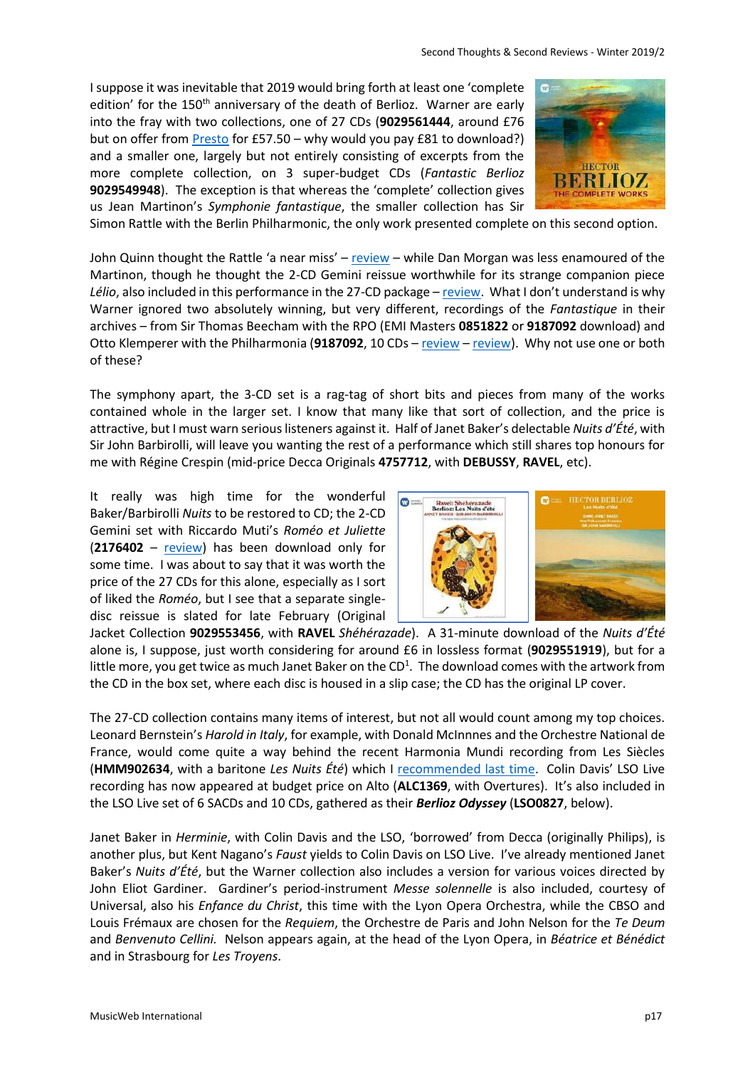I suppose it was inevitable that 2019 would bring forth at least one 'complete edition' for the 150<sup>th</sup> anniversary of the death of Berlioz. Warner are early into the fray with two collections, one of 27 CDs (**9029561444**, around £76 but on offer fro[m Presto](https://www.prestomusic.com/classical/products/8516456--hector-berlioz-the-complete-works) for £57.50 – why would you pay £81 to download?) and a smaller one, largely but not entirely consisting of excerpts from the more complete collection, on 3 super-budget CDs (*Fantastic Berlioz* **9029549948**). The exception is that whereas the 'complete' collection gives us Jean Martinon's *Symphonie fantastique*, the smaller collection has Sir



Simon Rattle with the Berlin Philharmonic, the only work presented complete on this second option.

John Quinn thought the Rattle 'a near miss' – [review](http://www.musicweb-international.com/classrev/2009/Jan09/berlioz_Rattle_2162240.htm) – while Dan Morgan was less enamoured of the Martinon, though he thought the 2-CD Gemini reissue worthwhile for its strange companion piece Lélio, also included in this performance in the 27-CD package – [review.](http://www.musicweb-international.com/classrev/2008/July08/Berlioz_Martinon_5176542.htm) What I don't understand is why Warner ignored two absolutely winning, but very different, recordings of the *Fantastique* in their archives – from Sir Thomas Beecham with the RPO (EMI Masters **0851822** or **9187092** download) and Otto Klemperer with the Philharmonia (**9187092**, 10 CDs – [review](http://www.musicweb-international.com/classrev/2013/Apr13/Klemperer_romantic_4043092.htm) – [review\)](http://www.musicweb-international.com/classrev/2013/May13/Klemperer_Romantic_Symphonies_4043092.htm). Why not use one or both of these?

The symphony apart, the 3-CD set is a rag-tag of short bits and pieces from many of the works contained whole in the larger set. I know that many like that sort of collection, and the price is attractive, but I must warn serious listeners against it. Half of Janet Baker's delectable *Nuits d'Été*, with Sir John Barbirolli, will leave you wanting the rest of a performance which still shares top honours for me with Régine Crespin (mid-price Decca Originals **4757712**, with **DEBUSSY**, **RAVEL**, etc).

It really was high time for the wonderful Baker/Barbirolli *Nuits* to be restored to CD; the 2-CD Gemini set with Riccardo Muti's *Roméo et Juliette* (**2176402** – [review\)](http://www.musicweb-international.com/classrev/2009/Apr09/Berlioz_Romeo_2176402.htm) has been download only for some time. I was about to say that it was worth the price of the 27 CDs for this alone, especially as I sort of liked the *Roméo*, but I see that a separate singledisc reissue is slated for late February (Original



Jacket Collection **9029553456**, with **RAVEL** *Shéhérazade*). A 31-minute download of the *Nuits d'Été* alone is, I suppose, just worth considering for around £6 in lossless format (**9029551919**), but for a little more, you get twice as much Janet Baker on the CD<sup>1</sup>. The download comes with the artwork from the CD in the box set, where each disc is housed in a slip case; the CD has the original LP cover.

The 27-CD collection contains many items of interest, but not all would count among my top choices. Leonard Bernstein's *Harold in Italy*, for example, with Donald McInnnes and the Orchestre National de France, would come quite a way behind the recent Harmonia Mundi recording from Les Siècles (**HMM902634**, with a baritone *Les Nuits Été*) which I [recommended last time](http://musicweb-international.com/classrev/2019/Jan/Winter_2019_1.pdf). Colin Davis' LSO Live recording has now appeared at budget price on Alto (**ALC1369**, with Overtures). It's also included in the LSO Live set of 6 SACDs and 10 CDs, gathered as their *Berlioz Odyssey* (**LSO0827**, below).

Janet Baker in *Herminie*, with Colin Davis and the LSO, 'borrowed' from Decca (originally Philips), is another plus, but Kent Nagano's *Faust* yields to Colin Davis on LSO Live. I've already mentioned Janet Baker's *Nuits d'Été*, but the Warner collection also includes a version for various voices directed by John Eliot Gardiner. Gardiner's period-instrument *Messe solennelle* is also included, courtesy of Universal, also his *Enfance du Christ*, this time with the Lyon Opera Orchestra, while the CBSO and Louis Frémaux are chosen for the *Requiem*, the Orchestre de Paris and John Nelson for the *Te Deum* and *Benvenuto Cellini.* Nelson appears again, at the head of the Lyon Opera, in *Béatrice et Bénédict* and in Strasbourg for *Les Troyens*.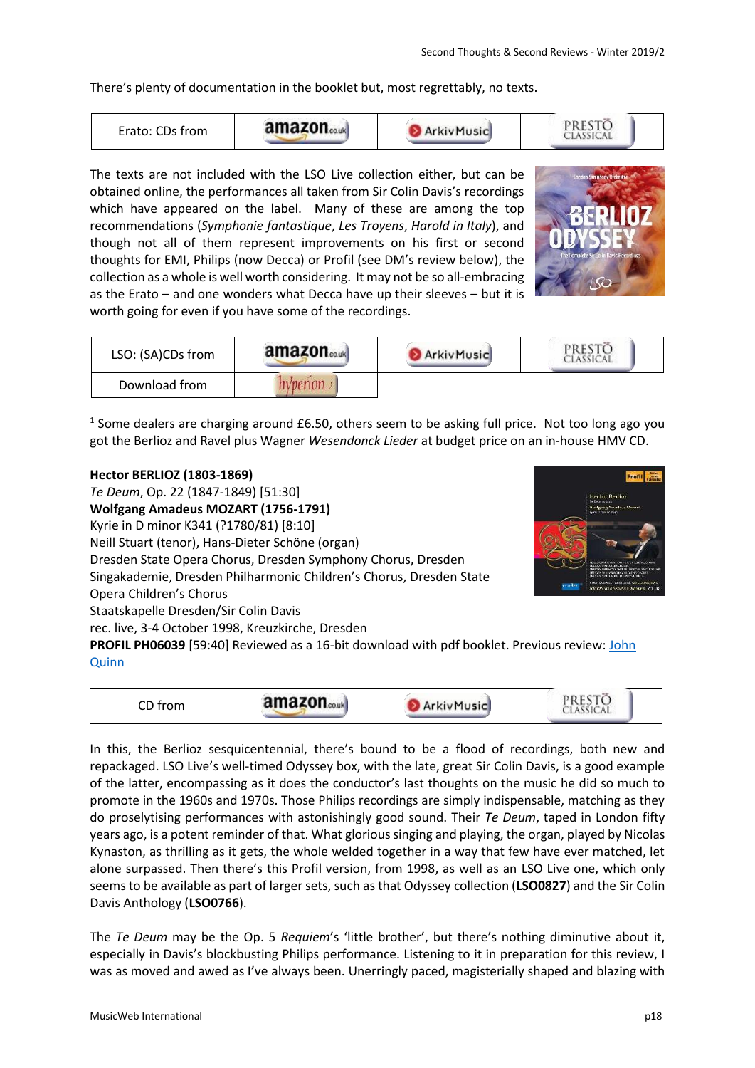There's plenty of documentation in the booklet but, most regrettably, no texts.



The texts are not included with the LSO Live collection either, but can be obtained online, the performances all taken from Sir Colin Davis's recordings which have appeared on the label. Many of these are among the top recommendations (*Symphonie fantastique*, *Les Troyens*, *Harold in Italy*), and though not all of them represent improvements on his first or second thoughts for EMI, Philips (now Decca) or Profil (see DM's review below), the collection as a whole is well worth considering. It may not be so all-embracing as the Erato – and one wonders what Decca have up their sleeves – but it is worth going for even if you have some of the recordings.



| LSO: (SA)CDs from | amazon | ArkivMusic | CLASSICA |
|-------------------|--------|------------|----------|
| Download from     |        |            |          |

<sup>1</sup> Some dealers are charging around £6.50, others seem to be asking full price. Not too long ago you got the Berlioz and Ravel plus Wagner *Wesendonck Lieder* at budget price on an in-house HMV CD.

### **Hector BERLIOZ (1803-1869)**

*Te Deum*, Op. 22 (1847-1849) [51:30] **Wolfgang Amadeus MOZART (1756-1791)** Kyrie in D minor K341 (?1780/81) [8:10] Neill Stuart (tenor), Hans-Dieter Schöne (organ) Dresden State Opera Chorus, Dresden Symphony Chorus, Dresden Singakademie, Dresden Philharmonic Children's Chorus, Dresden State Opera Children's Chorus Staatskapelle Dresden/Sir Colin Davis rec. live, 3-4 October 1998, Kreuzkirche, Dresden **PROFIL PH06039** [59:40] Reviewed as a 16-bit download with pdf booklet. Previous review[: John](http://www.musicweb-international.com/classrev/2007/Sept07/Berlioz_ph06039.htm) 



### **[Quinn](http://www.musicweb-international.com/classrev/2007/Sept07/Berlioz_ph06039.htm)**

| ~~ (<br>CD trom | amazon | <b>ArkivMusic</b> | u<br><b>SICAL</b> |  |
|-----------------|--------|-------------------|-------------------|--|
|-----------------|--------|-------------------|-------------------|--|

In this, the Berlioz sesquicentennial, there's bound to be a flood of recordings, both new and repackaged. LSO Live's well-timed Odyssey box, with the late, great Sir Colin Davis, is a good example of the latter, encompassing as it does the conductor's last thoughts on the music he did so much to promote in the 1960s and 1970s. Those Philips recordings are simply indispensable, matching as they do proselytising performances with astonishingly good sound. Their *Te Deum*, taped in London fifty years ago, is a potent reminder of that. What glorious singing and playing, the organ, played by Nicolas Kynaston, as thrilling as it gets, the whole welded together in a way that few have ever matched, let alone surpassed. Then there's this Profil version, from 1998, as well as an LSO Live one, which only seems to be available as part of larger sets, such as that Odyssey collection (**LSO0827**) and the Sir Colin Davis Anthology (**LSO0766**).

The *Te Deum* may be the Op. 5 *Requiem*'s 'little brother', but there's nothing diminutive about it, especially in Davis's blockbusting Philips performance. Listening to it in preparation for this review, I was as moved and awed as I've always been. Unerringly paced, magisterially shaped and blazing with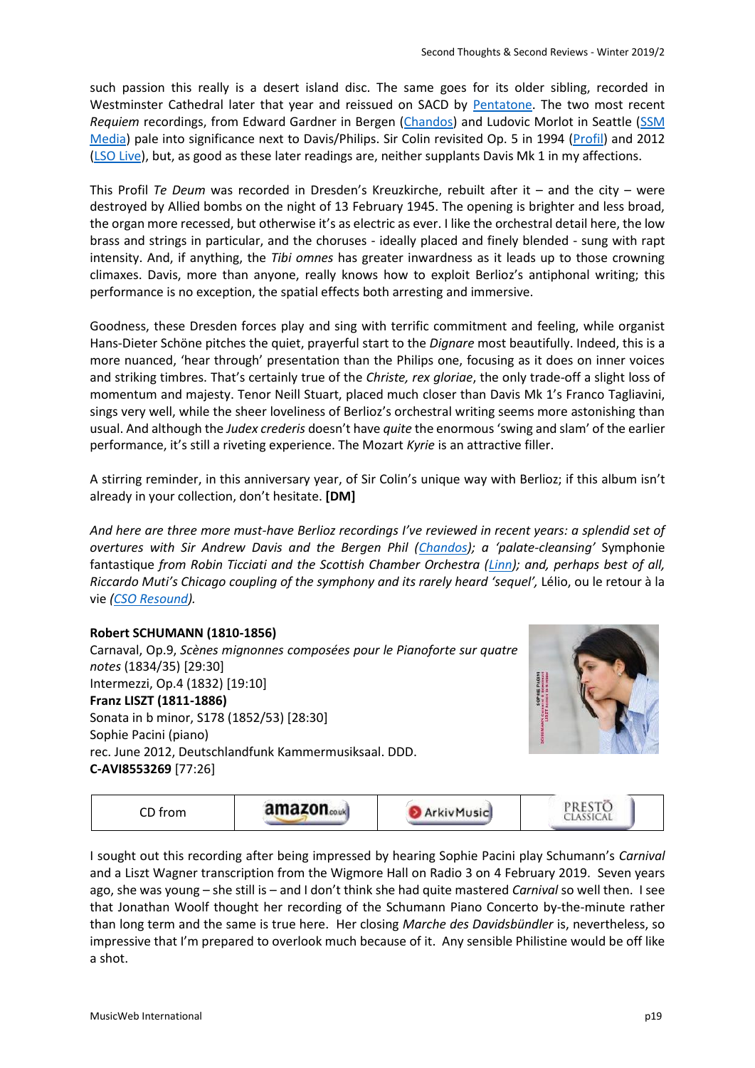such passion this really is a desert island disc. The same goes for its older sibling, recorded in Westminster Cathedral later that year and reissued on SACD by [Pentatone.](http://www.musicweb-international.com/classrev/2009/Jan09/Berlioz_requiem_ptc5186191.htm) The two most recent *Requiem* recordings, from Edward Gardner in Bergen [\(Chandos\)](http://www.musicweb-international.com/classrev/2018/Oct/Berlioz_requiem_CHSA5219.htm) and Ludovic Morlot in Seattle [\(SSM](http://www.musicweb-international.com/classrev/2018/Nov/Berlioz_requiem_SSM1020.htm)  [Media\)](http://www.musicweb-international.com/classrev/2018/Nov/Berlioz_requiem_SSM1020.htm) pale into significance next to Davis/Philips. Sir Colin revisited Op. 5 in 1994 [\(Profil\)](http://www.musicweb-international.com/classrev/2007/Sept07/Berlioz_requiem_ph07014.htm) and 2012 [\(LSO Live\)](http://www.musicweb-international.com/classrev/2013/Apr13/Berlioz_requiem_LSO0729.htm), but, as good as these later readings are, neither supplants Davis Mk 1 in my affections.

This Profil *Te Deum* was recorded in Dresden's Kreuzkirche, rebuilt after it – and the city – were destroyed by Allied bombs on the night of 13 February 1945. The opening is brighter and less broad, the organ more recessed, but otherwise it's as electric as ever. I like the orchestral detail here, the low brass and strings in particular, and the choruses - ideally placed and finely blended - sung with rapt intensity. And, if anything, the *Tibi omnes* has greater inwardness as it leads up to those crowning climaxes. Davis, more than anyone, really knows how to exploit Berlioz's antiphonal writing; this performance is no exception, the spatial effects both arresting and immersive.

Goodness, these Dresden forces play and sing with terrific commitment and feeling, while organist Hans-Dieter Schöne pitches the quiet, prayerful start to the *Dignare* most beautifully. Indeed, this is a more nuanced, 'hear through' presentation than the Philips one, focusing as it does on inner voices and striking timbres. That's certainly true of the *Christe, rex gloriae*, the only trade-off a slight loss of momentum and majesty. Tenor Neill Stuart, placed much closer than Davis Mk 1's Franco Tagliavini, sings very well, while the sheer loveliness of Berlioz's orchestral writing seems more astonishing than usual. And although the *Judex crederis* doesn't have *quite* the enormous 'swing and slam' of the earlier performance, it's still a riveting experience. The Mozart *Kyrie* is an attractive filler.

A stirring reminder, in this anniversary year, of Sir Colin's unique way with Berlioz; if this album isn't already in your collection, don't hesitate. **[DM]**

*And here are three more must-have Berlioz recordings I've reviewed in recent years: a splendid set of overtures with Sir Andrew Davis and the Bergen Phil [\(Chandos\)](http://www.musicweb-international.com/classrev/2013/Mar13/DL_News_2013_5.htm); a 'palate-cleansing'* Symphonie fantastique *from Robin Ticciati and the Scottish Chamber Orchestra [\(Linn\)](http://www.musicweb-international.com/classrev/2012/Apr12/Berlioz_Ticciati_CKD400.htm); and, perhaps best of all, Riccardo Muti's Chicago coupling of the symphony and its rarely heard 'sequel',* Lélio, ou le retour à la vie *[\(CSO Resound\)](http://www.musicweb-international.com/classrev/2015/Sep/Berlioz_symph_CSOR9011501.htm).* 

# **Robert SCHUMANN (1810-1856)**

Carnaval, Op.9, *Scènes mignonnes composées pour le Pianoforte sur quatre notes* (1834/35) [29:30] Intermezzi, Op.4 (1832) [19:10] **Franz LISZT (1811-1886)**  Sonata in b minor, S178 (1852/53) [28:30] Sophie Pacini (piano) rec. June 2012, Deutschlandfunk Kammermusiksaal. DDD. **C-AVI8553269** [77:26]





I sought out this recording after being impressed by hearing Sophie Pacini play Schumann's *Carnival* and a Liszt Wagner transcription from the Wigmore Hall on Radio 3 on 4 February 2019. Seven years ago, she was young – she still is – and I don't think she had quite mastered *Carnival* so well then. I see that Jonathan Woolf thought her recording of the Schumann Piano Concerto by-the-minute rather than long term and the same is true here. Her closing *Marche des Davidsbündler* is, nevertheless, so impressive that I'm prepared to overlook much because of it. Any sensible Philistine would be off like a shot.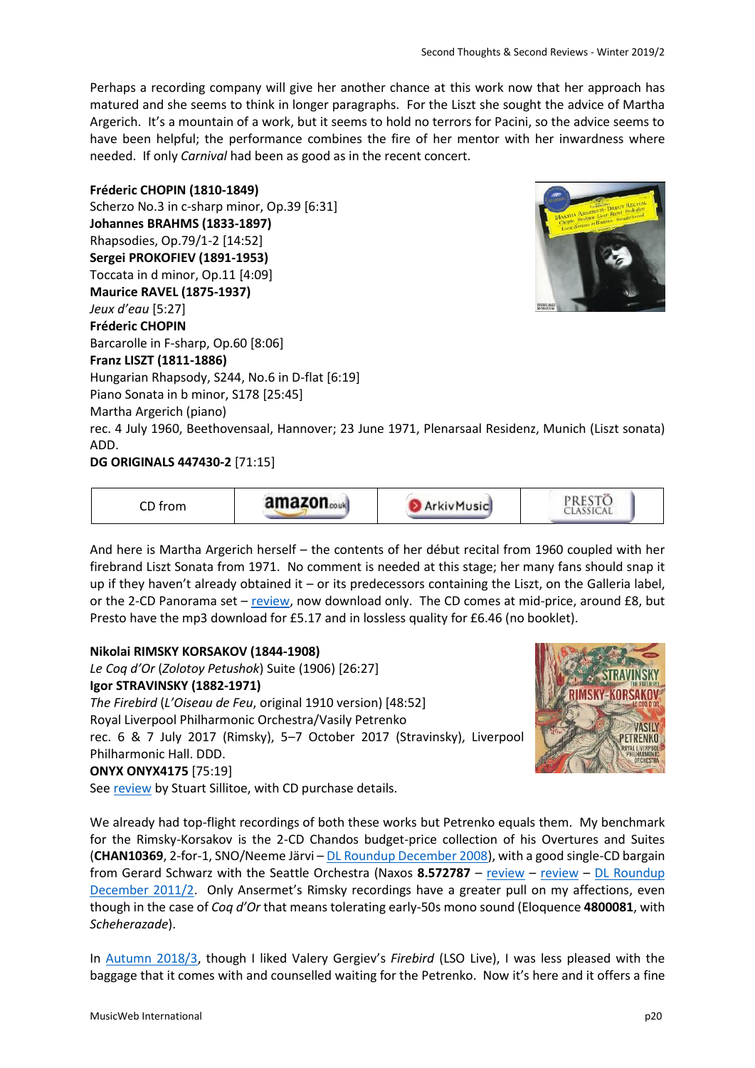Perhaps a recording company will give her another chance at this work now that her approach has matured and she seems to think in longer paragraphs. For the Liszt she sought the advice of Martha Argerich. It's a mountain of a work, but it seems to hold no terrors for Pacini, so the advice seems to have been helpful; the performance combines the fire of her mentor with her inwardness where needed. If only *Carnival* had been as good as in the recent concert.

### **Fréderic CHOPIN (1810-1849)**

Scherzo No.3 in c-sharp minor, Op.39 [6:31] **Johannes BRAHMS (1833-1897)** Rhapsodies, Op.79/1-2 [14:52] **Sergei PROKOFIEV (1891-1953)** Toccata in d minor, Op.11 [4:09] **Maurice RAVEL (1875-1937)** *Jeux d'eau* [5:27] **Fréderic CHOPIN** Barcarolle in F-sharp, Op.60 [8:06] **Franz LISZT (1811-1886)**  Hungarian Rhapsody, S244, No.6 in D-flat [6:19] Piano Sonata in b minor, S178 [25:45] Martha Argerich (piano) rec. 4 July 1960, Beethovensaal, Hannover; 23 June 1971, Plenarsaal Residenz, Munich (Liszt sonata) ADD.

**DG ORIGINALS 447430-2** [71:15]



And here is Martha Argerich herself – the contents of her début recital from 1960 coupled with her firebrand Liszt Sonata from 1971. No comment is needed at this stage; her many fans should snap it up if they haven't already obtained it – or its predecessors containing the Liszt, on the Galleria label, or the 2-CD Panorama set – [review,](http://www.musicweb-international.com/classrev/2000/dec00/liszt_Panorama.htm) now download only. The CD comes at mid-price, around £8, but Presto have the mp3 download for £5.17 and in lossless quality for £6.46 (no booklet).

# **Nikolai RIMSKY KORSAKOV (1844-1908)**

*Le Coq d'Or* (*Zolotoy Petushok*) Suite (1906) [26:27] **Igor STRAVINSKY (1882-1971)**  *The Firebird* (*L'Oiseau de Feu*, original 1910 version) [48:52] Royal Liverpool Philharmonic Orchestra/Vasily Petrenko rec. 6 & 7 July 2017 (Rimsky), 5–7 October 2017 (Stravinsky), Liverpool Philharmonic Hall. DDD. **ONYX ONYX4175** [75:19] Se[e review](http://www.musicweb-international.com/classrev/2019/Jan/Stravinsky_firebird_4175.htm) by Stuart Sillitoe, with CD purchase details.



We already had top-flight recordings of both these works but Petrenko equals them. My benchmark for the Rimsky-Korsakov is the 2-CD Chandos budget-price collection of his Overtures and Suites (**CHAN10369**, 2-for-1, SNO/Neeme Järvi – [DL Roundup December 2008\)](http://www.musicweb-international.com/classrev/2008/Dec08/Download_roundup.htm), with a good single-CD bargain from Gerard Schwarz with the Seattle Orchestra (Naxos 8.572787 – [review](http://www.musicweb-international.com/classrev/2012/Aug12/RimskyK_snow_maiden_8572787.htm) – review – DL Roundup [December 2011/2.](http://www.musicweb-international.com/classrev/2011/Dec11/DL_roundup_Dec11_2.htm) Only Ansermet's Rimsky recordings have a greater pull on my affections, even though in the case of *Coq d'Or* that means tolerating early-50s mono sound (Eloquence **4800081**, with *Scheherazade*).

In [Autumn 2018/3,](http://www.musicweb-international.com/classrev/2018/Nov/Autumn_2018_3.pdf) though I liked Valery Gergiev's *Firebird* (LSO Live), I was less pleased with the baggage that it comes with and counselled waiting for the Petrenko. Now it's here and it offers a fine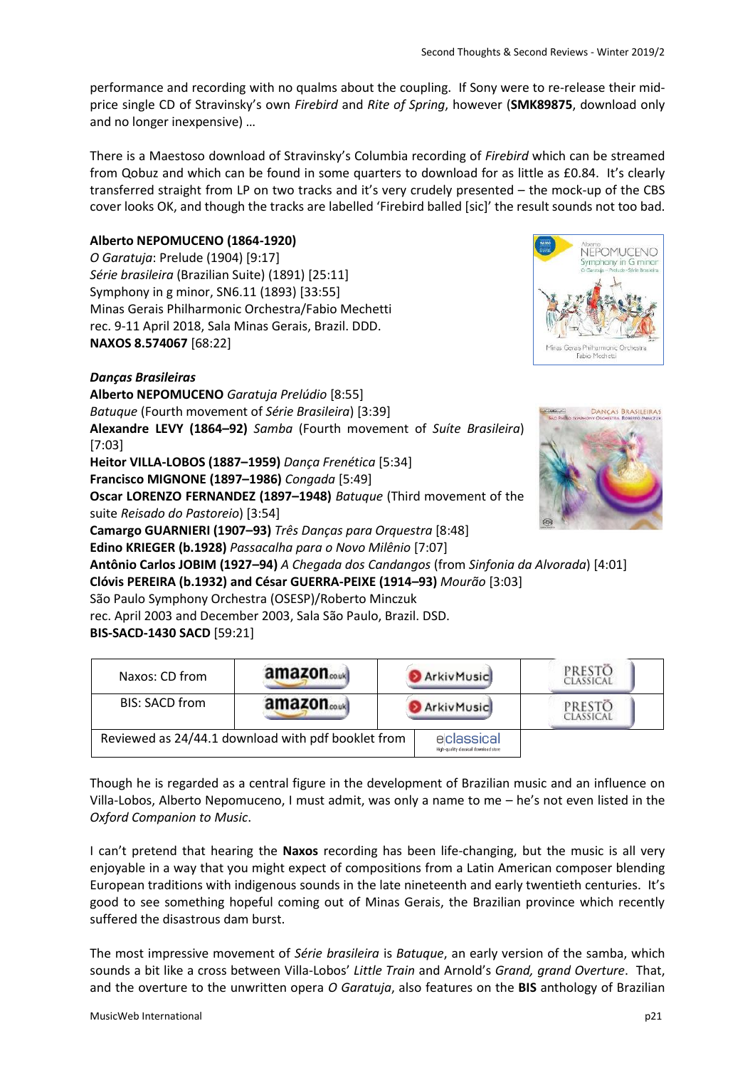performance and recording with no qualms about the coupling. If Sony were to re-release their midprice single CD of Stravinsky's own *Firebird* and *Rite of Spring*, however (**SMK89875**, download only and no longer inexpensive) …

There is a Maestoso download of Stravinsky's Columbia recording of *Firebird* which can be streamed from Qobuz and which can be found in some quarters to download for as little as £0.84. It's clearly transferred straight from LP on two tracks and it's very crudely presented – the mock-up of the CBS cover looks OK, and though the tracks are labelled 'Firebird balled [sic]' the result sounds not too bad.

### **Alberto NEPOMUCENO (1864-1920)**

*O Garatuja*: Prelude (1904) [9:17] *Série brasileira* (Brazilian Suite) (1891) [25:11] Symphony in g minor, SN6.11 (1893) [33:55] Minas Gerais Philharmonic Orchestra/Fabio Mechetti rec. 9-11 April 2018, Sala Minas Gerais, Brazil. DDD. **NAXOS 8.574067** [68:22]



# *Danças Brasileiras*

**Alberto NEPOMUCENO** *Garatuja Prelúdio* [8:55] *Batuque* (Fourth movement of *Série Brasileira*) [3:39] **Alexandre LEVY (1864–92)** *Samba* (Fourth movement of *Suíte Brasileira*) [7:03]

**Heitor VILLA-LOBOS (1887–1959)** *Dança Frenética* [5:34] **Francisco MIGNONE (1897–1986)** *Congada* [5:49] **Oscar LORENZO FERNANDEZ (1897–1948)** *Batuque* (Third movement of the

suite *Reisado do Pastoreio*) [3:54]

**Camargo GUARNIERI (1907–93)** *Três Danças para Orquestra* [8:48]

**Edino KRIEGER (b.1928)** *Passacalha para o Novo Milênio* [7:07]

**DANCAS BRASILEIRA** 

**Antônio Carlos JOBIM (1927–94)** *A Chegada dos Candangos* (from *Sinfonia da Alvorada*) [4:01] **Clóvis PEREIRA (b.1932) and César GUERRA-PEIXE (1914–93)** *Mourão* [3:03]

São Paulo Symphony Orchestra (OSESP)/Roberto Minczuk

rec. April 2003 and December 2003, Sala São Paulo, Brazil. DSD.

**BIS-SACD-1430 SACD** [59:21]

| Naxos: CD from | amazon <sub>couk</sub>                             | <b>ArkivMusic</b>                                   | PRESTO<br>Classical |
|----------------|----------------------------------------------------|-----------------------------------------------------|---------------------|
| BIS: SACD from | amazon <sub>couk</sub>                             | ArkivMusic                                          | PRESTO<br>CLASSICAL |
|                | Reviewed as 24/44.1 download with pdf booklet from | eclassical<br>High-quality classical download store |                     |

Though he is regarded as a central figure in the development of Brazilian music and an influence on Villa-Lobos, Alberto Nepomuceno, I must admit, was only a name to me – he's not even listed in the *Oxford Companion to Music*.

I can't pretend that hearing the **Naxos** recording has been life-changing, but the music is all very enjoyable in a way that you might expect of compositions from a Latin American composer blending European traditions with indigenous sounds in the late nineteenth and early twentieth centuries. It's good to see something hopeful coming out of Minas Gerais, the Brazilian province which recently suffered the disastrous dam burst.

The most impressive movement of *Série brasileira* is *Batuque*, an early version of the samba, which sounds a bit like a cross between Villa-Lobos' *Little Train* and Arnold's *Grand, grand Overture*. That, and the overture to the unwritten opera *O Garatuja*, also features on the **BIS** anthology of Brazilian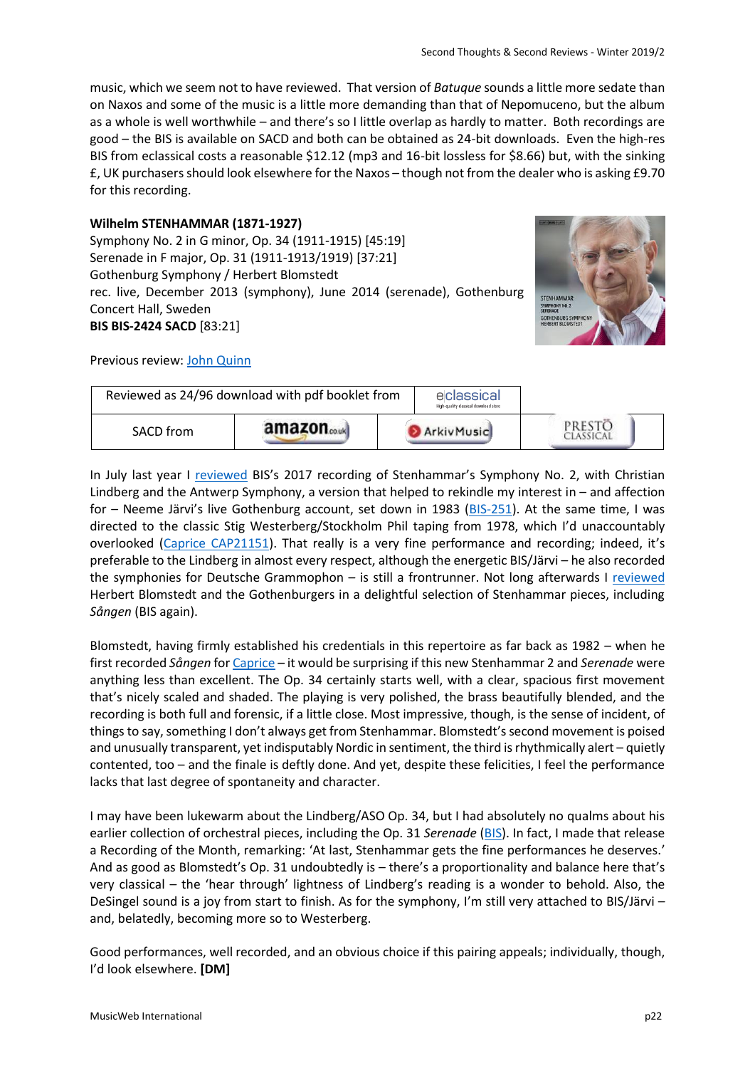music, which we seem not to have reviewed. That version of *Batuque* sounds a little more sedate than on Naxos and some of the music is a little more demanding than that of Nepomuceno, but the album as a whole is well worthwhile – and there's so I little overlap as hardly to matter. Both recordings are good – the BIS is available on SACD and both can be obtained as 24-bit downloads. Even the high-res BIS from eclassical costs a reasonable \$12.12 (mp3 and 16-bit lossless for \$8.66) but, with the sinking £, UK purchasers should look elsewhere for the Naxos – though not from the dealer who is asking £9.70 for this recording.

### **Wilhelm STENHAMMAR (1871-1927)**

Symphony No. 2 in G minor, Op. 34 (1911-1915) [45:19] Serenade in F major, Op. 31 (1911-1913/1919) [37:21] Gothenburg Symphony / Herbert Blomstedt rec. live, December 2013 (symphony), June 2014 (serenade), Gothenburg Concert Hall, Sweden **BIS BIS-2424 SACD** [83:21]



Previous review: [John Quinn](http://www.musicweb-international.com/classrev/2019/Jan/Stenhammar_Blomstedt_BIS2424.htm)



In July last year I [reviewed](http://www.musicweb-international.com/classrev/2018/Jul/Stenhammar_sy2_BIS2329.htm) BIS's 2017 recording of Stenhammar's Symphony No. 2, with Christian Lindberg and the Antwerp Symphony, a version that helped to rekindle my interest in – and affection for – Neeme Järvi's live Gothenburg account, set down in 1983 [\(BIS-251\)](http://www.eclassical.com/gothenburg-symphony-orchestra/stenhammar-symphony-no2.html). At the same time, I was directed to the classic Stig Westerberg/Stockholm Phil taping from 1978, which I'd unaccountably overlooked [\(Caprice CAP21151\)](http://www.eclassical.com/conductors/westerberg-stig/stenhammar-symphony-no-2.html). That really is a very fine performance and recording; indeed, it's preferable to the Lindberg in almost every respect, although the energetic BIS/Järvi – he also recorded the symphonies for Deutsche Grammophon – is still a frontrunner. Not long afterwards I [reviewed](http://www.musicweb-international.com/classrev/2018/Nov/Autumn_2018_3.pdf) Herbert Blomstedt and the Gothenburgers in a delightful selection of Stenhammar pieces, including *Sången* (BIS again).

Blomstedt, having firmly established his credentials in this repertoire as far back as 1982 – when he first recorded *Sången* fo[r Caprice](http://www.eclassical.com/composers/stenhammar-wilhelm/stenhammar-sangen-the-song-2-sentimental-romances-ithaka.html) – it would be surprising if this new Stenhammar 2 and *Serenade* were anything less than excellent. The Op. 34 certainly starts well, with a clear, spacious first movement that's nicely scaled and shaded. The playing is very polished, the brass beautifully blended, and the recording is both full and forensic, if a little close. Most impressive, though, is the sense of incident, of things to say, something I don't always get from Stenhammar. Blomstedt's second movement is poised and unusually transparent, yet indisputably Nordic in sentiment, the third is rhythmically alert – quietly contented, too – and the finale is deftly done. And yet, despite these felicities, I feel the performance lacks that last degree of spontaneity and character.

I may have been lukewarm about the Lindberg/ASO Op. 34, but I had absolutely no qualms about his earlier collection of orchestral pieces, including the Op. 31 *Serenade* [\(BIS\)](http://www.musicweb-international.com/classrev/2014/Apr14/Stenhammar_serenade_BISSACD2058.htm). In fact, I made that release a Recording of the Month, remarking: 'At last, Stenhammar gets the fine performances he deserves.' And as good as Blomstedt's Op. 31 undoubtedly is – there's a proportionality and balance here that's very classical – the 'hear through' lightness of Lindberg's reading is a wonder to behold. Also, the DeSingel sound is a joy from start to finish. As for the symphony, I'm still very attached to BIS/Järvi – and, belatedly, becoming more so to Westerberg.

Good performances, well recorded, and an obvious choice if this pairing appeals; individually, though, I'd look elsewhere. **[DM]**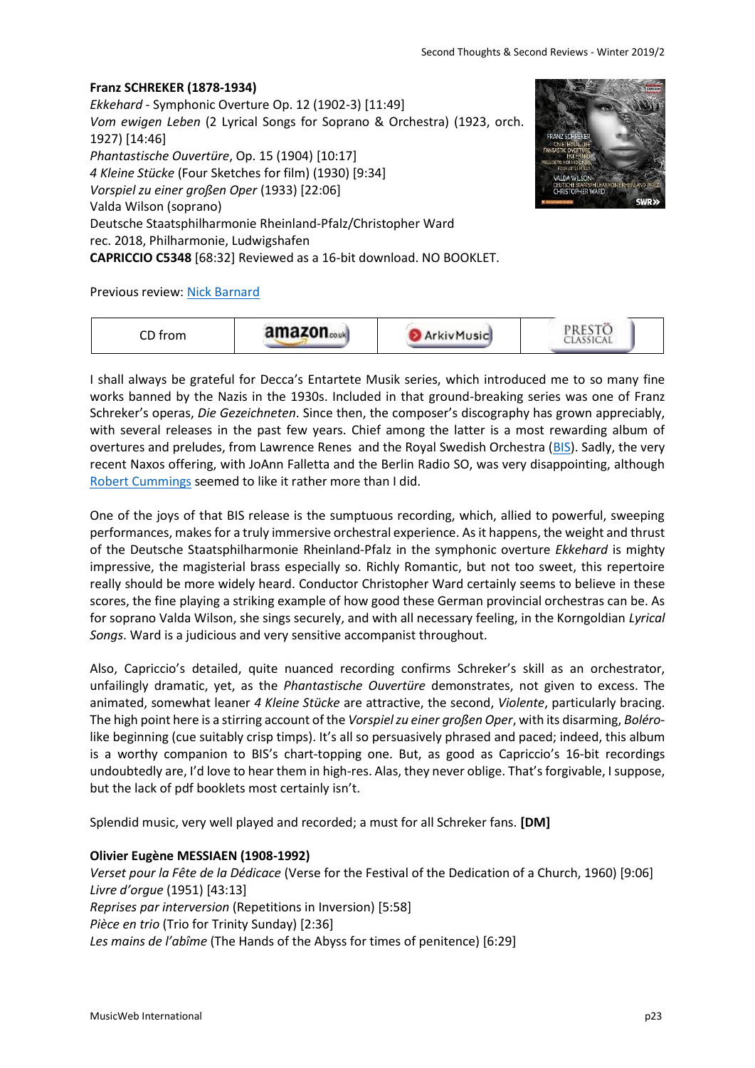### **Franz SCHREKER (1878-1934)**

*Ekkehard* - Symphonic Overture Op. 12 (1902-3) [11:49] *Vom ewigen Leben* (2 Lyrical Songs for Soprano & Orchestra) (1923, orch. 1927) [14:46] *Phantastische Ouvertüre*, Op. 15 (1904) [10:17] *4 Kleine Stücke* (Four Sketches for film) (1930) [9:34] *Vorspiel zu einer großen Oper* (1933) [22:06] Valda Wilson (soprano) Deutsche Staatsphilharmonie Rheinland-Pfalz/Christopher Ward rec. 2018, Philharmonie, Ludwigshafen **CAPRICCIO C5348** [68:32] Reviewed as a 16-bit download. NO BOOKLET.

Previous review: [Nick Barnard](http://www.musicweb-international.com/classrev/2019/Jan/Schreker_orchestral_C5348.htm)

| ~~ '<br>$+$ rom<br>UIII<br>ັບ | amazon.co.uk | Music | THE R. P. LEWIS CO., LANSING MICH. |  |
|-------------------------------|--------------|-------|------------------------------------|--|
|-------------------------------|--------------|-------|------------------------------------|--|

I shall always be grateful for Decca's Entartete Musik series, which introduced me to so many fine works banned by the Nazis in the 1930s. Included in that ground-breaking series was one of Franz Schreker's operas, *Die Gezeichneten*. Since then, the composer's discography has grown appreciably, with several releases in the past few years. Chief among the latter is a most rewarding album of overtures and preludes, from Lawrence Renes and the Royal Swedish Orchestra [\(BIS\)](http://www.musicweb-international.com/classrev/2016/Oct/Schreker_preludes_BIS2212.htm). Sadly, the very recent Naxos offering, with JoAnn Falletta and the Berlin Radio SO, was very disappointing, although [Robert Cummings](http://www.musicweb-international.com/classrev/2018/Dec/Schreker_Infanta_8573821.htm) seemed to like it rather more than I did.

One of the joys of that BIS release is the sumptuous recording, which, allied to powerful, sweeping performances, makes for a truly immersive orchestral experience. As it happens, the weight and thrust of the Deutsche Staatsphilharmonie Rheinland-Pfalz in the symphonic overture *Ekkehard* is mighty impressive, the magisterial brass especially so. Richly Romantic, but not too sweet, this repertoire really should be more widely heard. Conductor Christopher Ward certainly seems to believe in these scores, the fine playing a striking example of how good these German provincial orchestras can be. As for soprano Valda Wilson, she sings securely, and with all necessary feeling, in the Korngoldian *Lyrical Songs*. Ward is a judicious and very sensitive accompanist throughout.

Also, Capriccio's detailed, quite nuanced recording confirms Schreker's skill as an orchestrator, unfailingly dramatic, yet, as the *Phantastische Ouvertüre* demonstrates, not given to excess. The animated, somewhat leaner *4 Kleine Stücke* are attractive, the second, *Violente*, particularly bracing. The high point here is a stirring account of the *Vorspiel zu einer großen Oper*, with its disarming, *Boléro*like beginning (cue suitably crisp timps). It's all so persuasively phrased and paced; indeed, this album is a worthy companion to BIS's chart-topping one. But, as good as Capriccio's 16-bit recordings undoubtedly are, I'd love to hear them in high-res. Alas, they never oblige. That's forgivable, I suppose, but the lack of pdf booklets most certainly isn't.

Splendid music, very well played and recorded; a must for all Schreker fans. **[DM]**

### **Olivier Eugène MESSIAEN (1908-1992)**

*Verset pour la Fête de la Dédicace* (Verse for the Festival of the Dedication of a Church, 1960) [9:06] *Livre d'orgue* (1951) [43:13] *Reprises par interversion* (Repetitions in Inversion) [5:58] *Pièce en trio* (Trio for Trinity Sunday) [2:36] *Les mains de l'abîme* (The Hands of the Abyss for times of penitence) [6:29]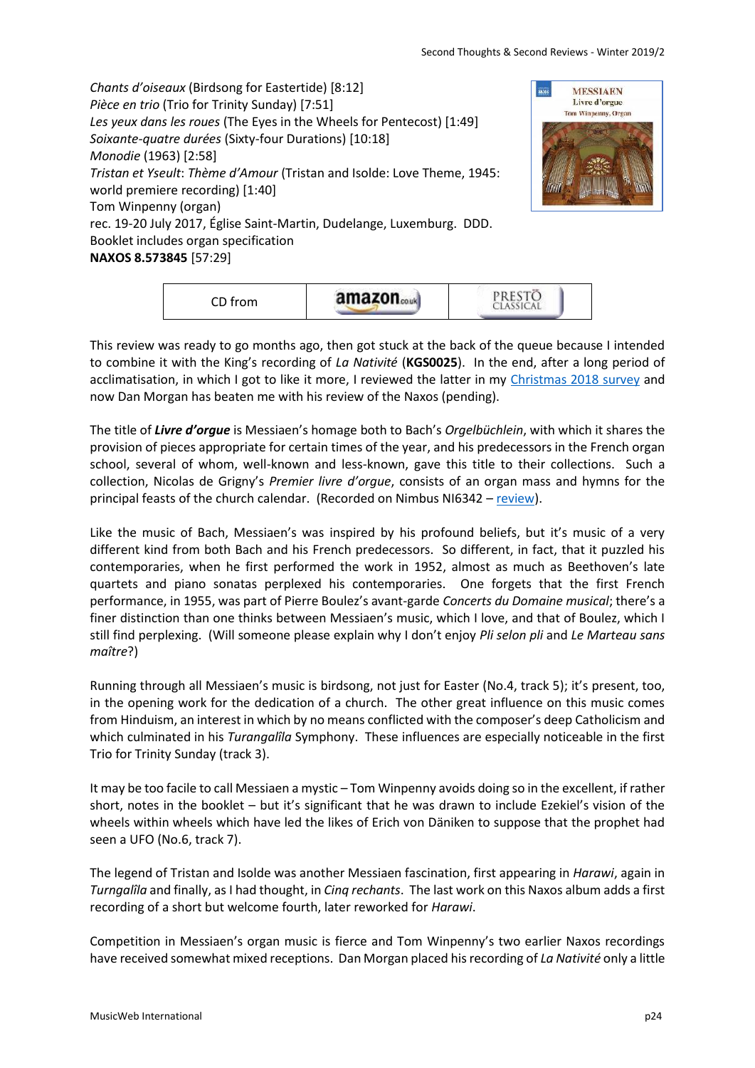*Chants d'oiseaux* (Birdsong for Eastertide) [8:12] *Pièce en trio* (Trio for Trinity Sunday) [7:51] *Les yeux dans les roues* (The Eyes in the Wheels for Pentecost) [1:49] *Soixante-quatre durées* (Sixty-four Durations) [10:18] *Monodie* (1963) [2:58] *Tristan et Yseult*: *Thème d'Amour* (Tristan and Isolde: Love Theme, 1945: world premiere recording) [1:40] Tom Winpenny (organ) rec. 19-20 July 2017, Église Saint-Martin, Dudelange, Luxemburg. DDD. Booklet includes organ specification **NAXOS 8.573845** [57:29]



| CD from | 'nn | <b>SECRET</b><br>TД<br>THE R. P. LEWIS CO., LANSING MICH. |  |
|---------|-----|-----------------------------------------------------------|--|
|---------|-----|-----------------------------------------------------------|--|

This review was ready to go months ago, then got stuck at the back of the queue because I intended to combine it with the King's recording of *La Nativité* (**KGS0025**). In the end, after a long period of acclimatisation, in which I got to like it more, I reviewed the latter in my [Christmas 2018 survey](http://www.musicweb-international.com/classrev/2018/Dec/Christmas_survey.pdf) and now Dan Morgan has beaten me with his review of the Naxos (pending).

The title of *Livre d'orgue* is Messiaen's homage both to Bach's *Orgelbüchlein*, with which it shares the provision of pieces appropriate for certain times of the year, and his predecessors in the French organ school, several of whom, well-known and less-known, gave this title to their collections. Such a collection, Nicolas de Grigny's *Premier livre d'orgue*, consists of an organ mass and hymns for the principal feasts of the church calendar. (Recorded on Nimbus NI6342 – [review\)](http://www.musicweb-international.com/classrev/2018/Jan/Grigny_organ_NI6342.htm).

Like the music of Bach, Messiaen's was inspired by his profound beliefs, but it's music of a very different kind from both Bach and his French predecessors. So different, in fact, that it puzzled his contemporaries, when he first performed the work in 1952, almost as much as Beethoven's late quartets and piano sonatas perplexed his contemporaries. One forgets that the first French performance, in 1955, was part of Pierre Boulez's avant-garde *Concerts du Domaine musical*; there's a finer distinction than one thinks between Messiaen's music, which I love, and that of Boulez, which I still find perplexing. (Will someone please explain why I don't enjoy *Pli selon pli* and *Le Marteau sans maître*?)

Running through all Messiaen's music is birdsong, not just for Easter (No.4, track 5); it's present, too, in the opening work for the dedication of a church. The other great influence on this music comes from Hinduism, an interest in which by no means conflicted with the composer's deep Catholicism and which culminated in his *Turangalîla* Symphony. These influences are especially noticeable in the first Trio for Trinity Sunday (track 3).

It may be too facile to call Messiaen a mystic – Tom Winpenny avoids doing so in the excellent, if rather short, notes in the booklet – but it's significant that he was drawn to include Ezekiel's vision of the wheels within wheels which have led the likes of Erich von Däniken to suppose that the prophet had seen a UFO (No.6, track 7).

The legend of Tristan and Isolde was another Messiaen fascination, first appearing in *Harawi*, again in *Turngalîla* and finally, as I had thought, in *Cinq rechants*. The last work on this Naxos album adds a first recording of a short but welcome fourth, later reworked for *Harawi*.

Competition in Messiaen's organ music is fierce and Tom Winpenny's two earlier Naxos recordings have received somewhat mixed receptions. Dan Morgan placed his recording of *La Nativité* only a little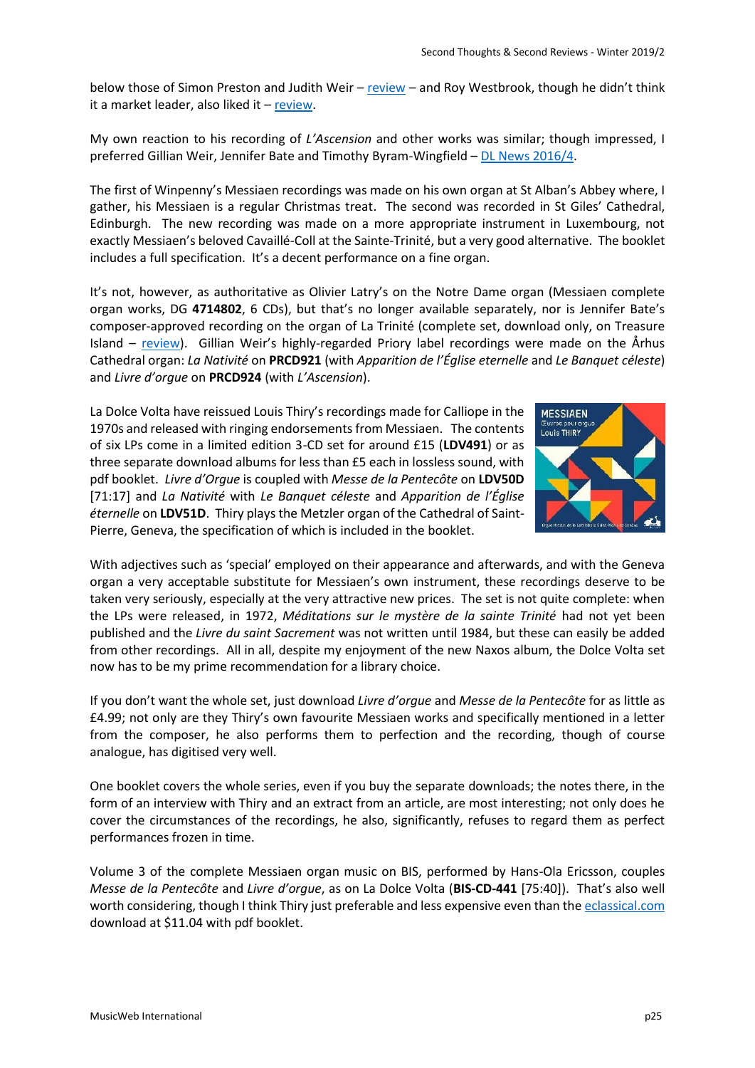below those of Simon Preston and Judith Weir – [review](http://www.musicweb-international.com/classrev/2015/Jan/Messiaen_nativite_8573332.htm) – and Roy Westbrook, though he didn't think it a market leader, also liked it – [review.](http://www.musicweb-international.com/classrev/2015/Apr/Messiaen_nativite_8573332.htm)

My own reaction to his recording of *L'Ascension* and other works was similar; though impressed, I preferred Gillian Weir, Jennifer Bate and Timothy Byram-Wingfield – [DL News 2016/4.](http://www.musicweb-international.com/classrev/2016/Mar/DL_News_2016_4.htm)

The first of Winpenny's Messiaen recordings was made on his own organ at St Alban's Abbey where, I gather, his Messiaen is a regular Christmas treat. The second was recorded in St Giles' Cathedral, Edinburgh. The new recording was made on a more appropriate instrument in Luxembourg, not exactly Messiaen's beloved Cavaillé-Coll at the Sainte-Trinité, but a very good alternative. The booklet includes a full specification. It's a decent performance on a fine organ.

It's not, however, as authoritative as Olivier Latry's on the Notre Dame organ (Messiaen complete organ works, DG **4714802**, 6 CDs), but that's no longer available separately, nor is Jennifer Bate's composer-approved recording on the organ of La Trinité (complete set, download only, on Treasure Island – [review](http://www.musicweb-international.com/classrev/2016/Jan/Messiaen_organ_UKCD6001.htm)). Gillian Weir's highly-regarded Priory label recordings were made on the Århus Cathedral organ: *La Nativité* on **PRCD921** (with *Apparition de l'Église eternelle* and *Le Banquet céleste*) and *Livre d'orgue* on **PRCD924** (with *L'Ascension*).

La Dolce Volta have reissued Louis Thiry's recordings made for Calliope in the 1970s and released with ringing endorsements from Messiaen. The contents of six LPs come in a limited edition 3-CD set for around £15 (**LDV491**) or as three separate download albums for less than £5 each in lossless sound, with pdf booklet. *Livre d'Orgue* is coupled with *Messe de la Pentecôte* on **LDV50D** [71:17] and *La Nativité* with *Le Banquet céleste* and *Apparition de l'Église éternelle* on **LDV51D**. Thiry plays the Metzler organ of the Cathedral of Saint-Pierre, Geneva, the specification of which is included in the booklet.



With adjectives such as 'special' employed on their appearance and afterwards, and with the Geneva organ a very acceptable substitute for Messiaen's own instrument, these recordings deserve to be taken very seriously, especially at the very attractive new prices. The set is not quite complete: when the LPs were released, in 1972, *Méditations sur le mystère de la sainte Trinité* had not yet been published and the *Livre du saint Sacrement* was not written until 1984, but these can easily be added from other recordings. All in all, despite my enjoyment of the new Naxos album, the Dolce Volta set now has to be my prime recommendation for a library choice.

If you don't want the whole set, just download *Livre d'orgue* and *Messe de la Pentecôte* for as little as £4.99; not only are they Thiry's own favourite Messiaen works and specifically mentioned in a letter from the composer, he also performs them to perfection and the recording, though of course analogue, has digitised very well.

One booklet covers the whole series, even if you buy the separate downloads; the notes there, in the form of an interview with Thiry and an extract from an article, are most interesting; not only does he cover the circumstances of the recordings, he also, significantly, refuses to regard them as perfect performances frozen in time.

Volume 3 of the complete Messiaen organ music on BIS, performed by Hans-Ola Ericsson, couples *Messe de la Pentecôte* and *Livre d'orgue*, as on La Dolce Volta (**BIS-CD-441** [75:40]). That's also well worth considering, though I think Thiry just preferable and less expensive even than the [eclassical.com](http://www.eclassical.com/messiaen-the-complete-organ-music-vol3.html) download at \$11.04 with pdf booklet.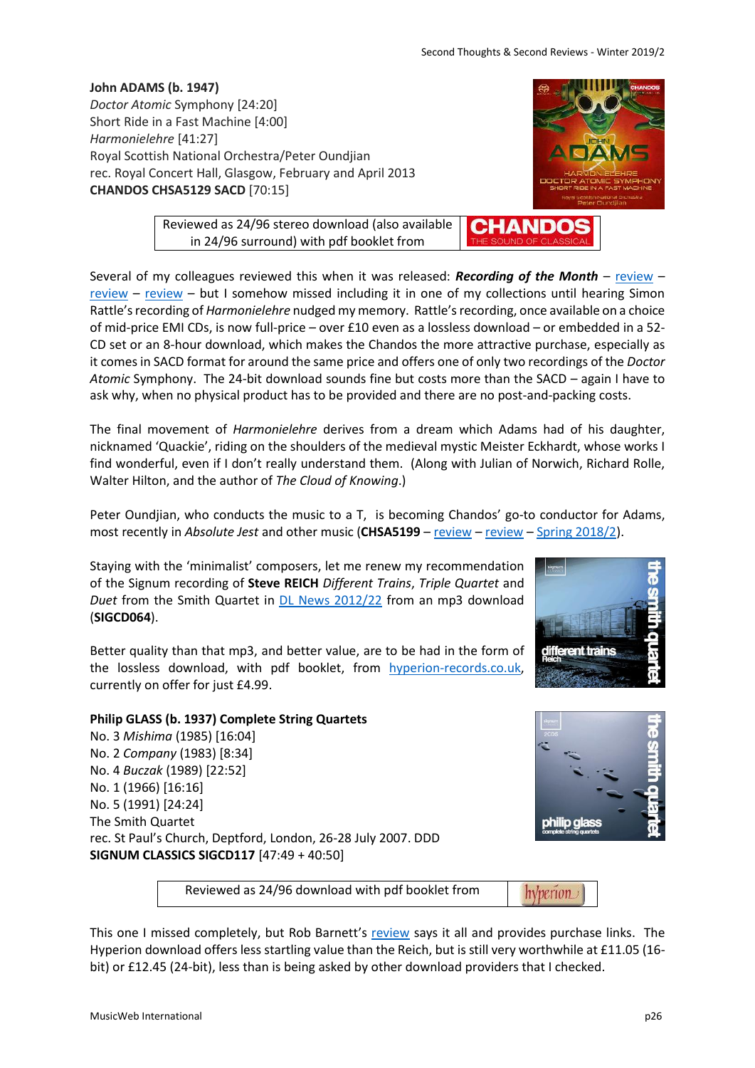Second Thoughts & Second Reviews - Winter 2019/2

CHAND

**John ADAMS (b. 1947)** *Doctor Atomic* Symphony [24:20] Short Ride in a Fast Machine [4:00] *Harmonielehre* [41:27] Royal Scottish National Orchestra/Peter Oundjian rec. Royal Concert Hall, Glasgow, February and April 2013 **CHANDOS CHSA5129 SACD** [70:15]

> Reviewed as 24/96 stereo download (also available in 24/96 surround) with pdf booklet from

Several of my colleagues reviewed this when it was released: *Recording of the Month* – [review](http://www.musicweb-international.com/classrev/2014/Jan14/Adams_DrAtomic_CHSA5129.htm) – [review](http://www.musicweb-international.com/classrev/2013/Dec13/Adams_DrAtomic_CHSA5129.htm) – [review](http://www.musicweb-international.com/classrev/2014/Feb14/Adams_DrAtomic_CHSA5129.htm) – but I somehow missed including it in one of my collections until hearing Simon Rattle's recording of *Harmonielehre* nudged my memory. Rattle's recording, once available on a choice of mid-price EMI CDs, is now full-price – over £10 even as a lossless download – or embedded in a 52- CD set or an 8-hour download, which makes the Chandos the more attractive purchase, especially as it comes in SACD format for around the same price and offers one of only two recordings of the *Doctor Atomic* Symphony. The 24-bit download sounds fine but costs more than the SACD – again I have to ask why, when no physical product has to be provided and there are no post-and-packing costs.

The final movement of *Harmonielehre* derives from a dream which Adams had of his daughter, nicknamed 'Quackie', riding on the shoulders of the medieval mystic Meister Eckhardt, whose works I find wonderful, even if I don't really understand them. (Along with Julian of Norwich, Richard Rolle, Walter Hilton, and the author of *The Cloud of Knowing*.)

Peter Oundjian, who conducts the music to a T, is becoming Chandos' go-to conductor for Adams, most recently in *Absolute Jest* and other music (CHSA5199 – [review](http://www.musicweb-international.com/classrev/2018/Jun/Adams_naive_CHSA5199.htm) – review – [Spring 2018/2\)](http://www.musicweb-international.com/classrev/2018/Apr/Spring_2018_2.pdf).

Staying with the 'minimalist' composers, let me renew my recommendation of the Signum recording of **Steve REICH** *Different Trains*, *Triple Quartet* and *Duet* from the Smith Quartet in [DL News 2012/22](http://www.musicweb-international.com/classrev/2012/Nov12/DL_News_2012_22.htm) from an mp3 download (**SIGCD064**).

Better quality than that mp3, and better value, are to be had in the form of the lossless download, with pdf booklet, from [hyperion-records.co.uk,](https://www.hyperion-records.co.uk/dc.asp?dc=D_SIGCD064) currently on offer for just £4.99.

### **Philip GLASS (b. 1937) Complete String Quartets** No. 3 *Mishima* (1985) [16:04] No. 2 *Company* (1983) [8:34]

No. 4 *Buczak* (1989) [22:52] No. 1 (1966) [16:16] No. 5 (1991) [24:24] The Smith Quartet rec. St Paul's Church, Deptford, London, 26-28 July 2007. DDD **SIGNUM CLASSICS SIGCD117** [47:49 + 40:50]

Reviewed as 24/96 download with pdf booklet from

This one I missed completely, but Rob Barnett's [review](http://www.musicweb-international.com/classrev/2008/July08/Glass_quartets_sigcd117.htm) says it all and provides purchase links. The Hyperion download offers less startling value than the Reich, but is still very worthwhile at £11.05 (16 bit) or £12.45 (24-bit), less than is being asked by other download providers that I checked.





hyperion

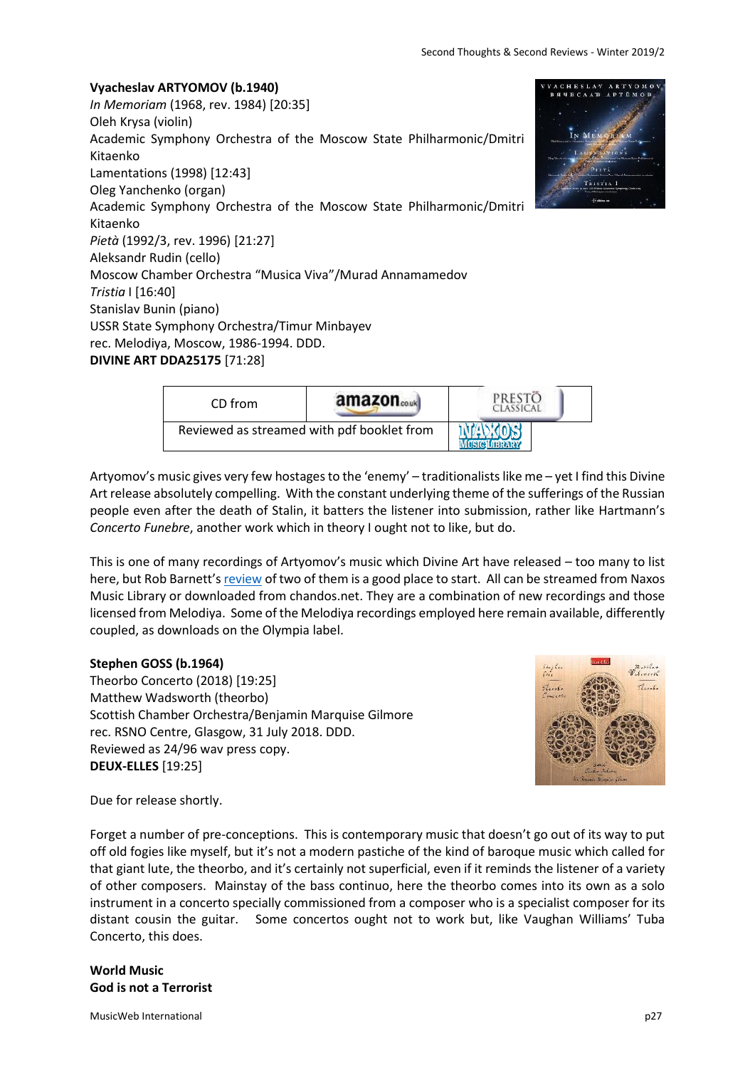**Vyacheslav ARTYOMOV (b.1940)** *In Memoriam* (1968, rev. 1984) [20:35] Oleh Krysa (violin) Academic Symphony Orchestra of the Moscow State Philharmonic/Dmitri Kitaenko Lamentations (1998) [12:43] Oleg Yanchenko (organ) Academic Symphony Orchestra of the Moscow State Philharmonic/Dmitri Kitaenko *Pietà* (1992/3, rev. 1996) [21:27] Aleksandr Rudin (cello) Moscow Chamber Orchestra "Musica Viva"/Murad Annamamedov *Tristia* I [16:40] Stanislav Bunin (piano) USSR State Symphony Orchestra/Timur Minbayev rec. Melodiya, Moscow, 1986-1994. DDD. **DIVINE ART DDA25175** [71:28]



| CD from                                    | amazon <sub>couk</sub> |  |
|--------------------------------------------|------------------------|--|
| Reviewed as streamed with pdf booklet from |                        |  |

Artyomov's music gives very few hostages to the 'enemy' – traditionalists like me – yet I find this Divine Art release absolutely compelling. With the constant underlying theme of the sufferings of the Russian people even after the death of Stalin, it batters the listener into submission, rather like Hartmann's *Concerto Funebre*, another work which in theory I ought not to like, but do.

This is one of many recordings of Artyomov's music which Divine Art have released – too many to list here, but Rob Barnett's [review](http://www.musicweb-international.com/classrev/2016/Dec/Artyomov_sy_DDA25143.htm) of two of them is a good place to start. All can be streamed from Naxos Music Library or downloaded from chandos.net. They are a combination of new recordings and those licensed from Melodiya. Some of the Melodiya recordings employed here remain available, differently coupled, as downloads on the Olympia label.

# **Stephen GOSS (b.1964)**

Theorbo Concerto (2018) [19:25] Matthew Wadsworth (theorbo) Scottish Chamber Orchestra/Benjamin Marquise Gilmore rec. RSNO Centre, Glasgow, 31 July 2018. DDD. Reviewed as 24/96 wav press copy. **DEUX-ELLES** [19:25]



Due for release shortly.

Forget a number of pre-conceptions. This is contemporary music that doesn't go out of its way to put off old fogies like myself, but it's not a modern pastiche of the kind of baroque music which called for that giant lute, the theorbo, and it's certainly not superficial, even if it reminds the listener of a variety of other composers. Mainstay of the bass continuo, here the theorbo comes into its own as a solo instrument in a concerto specially commissioned from a composer who is a specialist composer for its distant cousin the guitar. Some concertos ought not to work but, like Vaughan Williams' Tuba Concerto, this does.

**World Music God is not a Terrorist**

MusicWeb International policy and the contract of the contract of the contract of the contract of the p27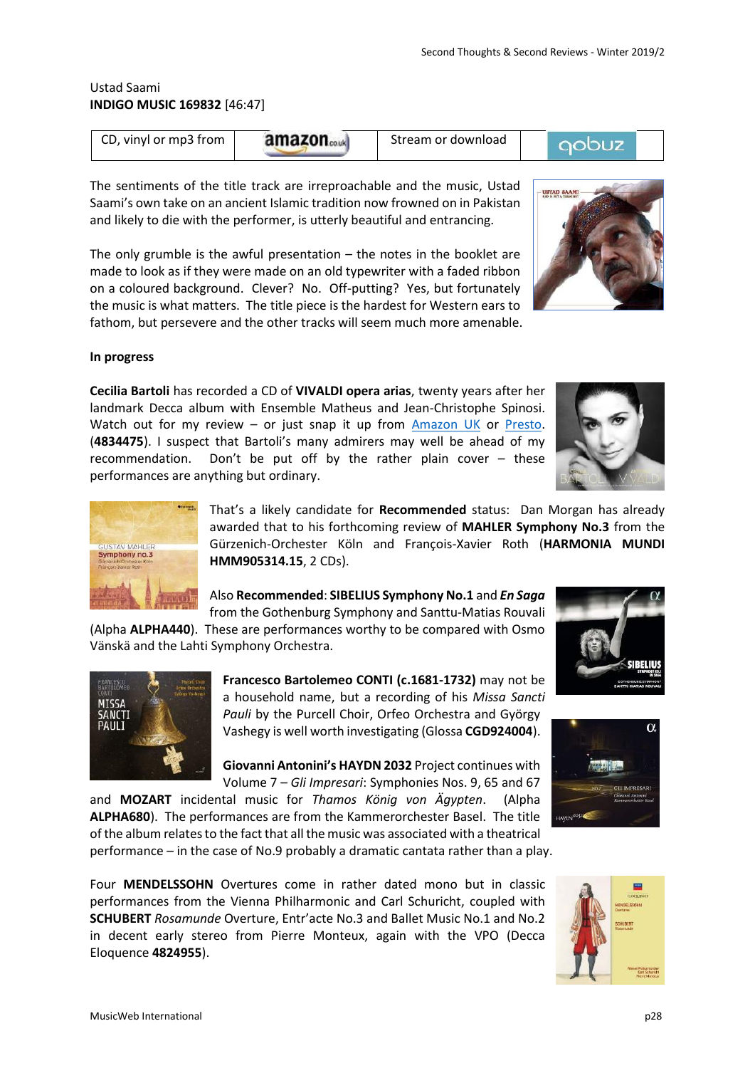### Ustad Saami **INDIGO MUSIC 169832** [46:47]

**Manager** 

| CD, vinyl or mp3 from | amazon | Stream or download |  |
|-----------------------|--------|--------------------|--|
|                       |        |                    |  |

The sentiments of the title track are irreproachable and the music, Ustad Saami's own take on an ancient Islamic tradition now frowned on in Pakistan and likely to die with the performer, is utterly beautiful and entrancing.

The only grumble is the awful presentation  $-$  the notes in the booklet are made to look as if they were made on an old typewriter with a faded ribbon on a coloured background. Clever? No. Off-putting? Yes, but fortunately the music is what matters. The title piece is the hardest for Western ears to fathom, but persevere and the other tracks will seem much more amenable.

#### **In progress**

**Cecilia Bartoli** has recorded a CD of **VIVALDI opera arias**, twenty years after her landmark Decca album with Ensemble Matheus and Jean-Christophe Spinosi. Watch out for my review – or just snap it up from [Amazon UK](http://www.amazon.co.uk/exec/obidos/ASIN/B07G23614S/musicwebuk) or [Presto.](https://www.prestoclassical.co.uk/aff/1004/classical/products/8476817--cecilia-bartoli-antonio-vivaldi) (**4834475**). I suspect that Bartoli's many admirers may well be ahead of my recommendation. Don't be put off by the rather plain cover – these performances are anything but ordinary.

> That's a likely candidate for **Recommended** status: Dan Morgan has already awarded that to his forthcoming review of **MAHLER Symphony No.3** from the Gürzenich-Orchester Köln and François-Xavier Roth (**HARMONIA MUNDI HMM905314.15**, 2 CDs).

Also **Recommended**: **SIBELIUS Symphony No.1** and *En Saga*

from the Gothenburg Symphony and Santtu-Matias Rouvali (Alpha **ALPHA440**). These are performances worthy to be compared with Osmo Vänskä and the Lahti Symphony Orchestra.

> **Francesco Bartolemeo CONTI (c.1681-1732)** may not be a household name, but a recording of his *Missa Sancti*  Pauli by the Purcell Choir, Orfeo Orchestra and György Vashegy is well worth investigating (Glossa **CGD924004**).

> **Giovanni Antonini's HAYDN 2032** Project continues with

Volume 7 – *Gli Impresari*: Symphonies Nos. 9, 65 and 67 and **MOZART** incidental music for *Thamos König von Ägypten*. (Alpha **ALPHA680**). The performances are from the Kammerorchester Basel. The title of the album relates to the fact that all the music was associated with a theatrical performance – in the case of No.9 probably a dramatic cantata rather than a play.

Four **MENDELSSOHN** Overtures come in rather dated mono but in classic performances from the Vienna Philharmonic and Carl Schuricht, coupled with **SCHUBERT** *Rosamunde* Overture, Entr'acte No.3 and Ballet Music No.1 and No.2 in decent early stereo from Pierre Monteux, again with the VPO (Decca Eloquence **4824955**).